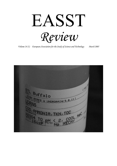EASST Review

Volume 24  $(1)$  European Association for the Study of Science and Technology March 2005

 $(716)$ Buffalo W UNDRDRAIN(5,8,11) TOC 400 IA, TKN, TOC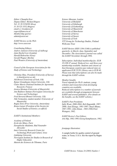Editor: Chunglin Kwa Deputy Editor: Richard Rogers Tel: 31 20 5256593 (Kwa) 31 20 525 3352 (Rogers) email:c.l. kwa@uva.nl rogers@hum.uva.nl Membership queries: admin@easst.net

EASST Review on the Web: http://www.easst.net

Contributing Editors: Andrew Jamison (University of Aalborg) Janet Rachel Low (London) Harald Rohracher (Graz) Gerald Wagner (Berlin) Paul Wouters (University of Amsterdam)

Council of the European Association for the Study of Science and Technology:

Christine Hine, President (University of Surrey) (c.hine@surrey.ac.uk) Nik Brown (University of York, UK) Rainer Grundmann (Aston University, UK) Claire Marris (National Institute for Agronomic Research, France) Jessica Mesman (University of Maastricht) Ann Rudinow Sætnan (Norwegian University for Science and Technology) Fred Steward (Brunel University, UK) Niki Vermeulen, student member (University of Maastricht) Ragna Zeiss (Free University, Amsterdam) Bruno Latour (President of the Society for Social Studies of Science, ex-officio)

#### EASST's Institutional Members:

Academy of Finland Ecole des Mines, Paris Europäische Akademie, Bad Neuenahr- Ahrweiler Inter-University Research Center for Technology,Work and Culture, Graz Linköping University Norwegian Institute for Studies in Research of Higher Education Maison des Sciences de l'Homme, Paris

Science Museum, London University of Bielefeld University of Edinburgh University of Gothenburg University of Maastricht University of Manchester University of Surrey University of Sussex University of York VTT Group for Technology Studies, Finland Wellcome Trust

EASST Review (ISSN 1384-5160) is published quarterly, in March, June, September and December. The Association's journal was called the EASST Newsletter through 1994.

Subscription: Individual membership fee: EUR 35,US\$ 47 annual. Reduced two- and three-year membership available. Students and citizens of East European countries pay reduced rates on applicaton EUR 25/20. Library rate is EUR 40. Please note that subscriptions can also be made through the EASST website.

#### Member benefits

Travel stipends for Ph.D. students, young scholars and researchers from developing countries are available. Reduced subscriptions to a number of journals are available through arrangements between EASST and several publishers. (For details on the benefits, see the EASST website.)

#### EASST's Past Presidents:

Sally Wyatt, 2000-2004; Rob Hagendijk, 1997- 2000; Aant Elzinga, 1991-1997; Stuart Blume, 1987-1991; John Ziman, 1983-1986;Peter Weingart, 1982.

EASST Review's Past Editors Arie Rip, 1982-1991;Georg Kamphausen, 1982.

#### frontpage illustration:

A sample bottle for quality control of ground water, in Texas, U.S.A. See the report by Ragna Zeiss.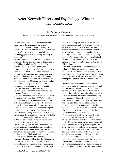# Actor Network Theory and Psychology: What about their Connection?

### by Márcia Moraes

Department of Psychology, Universidade Federal Fluminense, Rio de Janeiro, Brazil

I would like to raise two correlated questions: first, what is the meaning of the notion of network, such as currently proposed by Bruno Latour? And second, once we have delimited this notion of network, how important is it for psychology, particularly regarding the study of cognition?

 Some authors search in the notion of network an alternative for the epistemological discussions in the field of psychology (Moraes, M. 1998; Ferreira, A. 2000) In these papers, the discussions on whether psychology is or is not a science could be restated not in the sense of looking for frontiers between science and nonscience, or between psychology and common sense, but rather in the sense of questioning the alliances established between psychology and the other areas of study. What is peculiar to psychology is to keep an always horizontal relationship with other fields of study. Psychology's object of investigation would be designed from such connections.

 In some of his texts written after We have never been modern (Latour 1998; 1999; 2002b), Latour becomes more precise and underlines with this self-criticism the real meaning of the network notion, its extent, its novelty. In one of these works, the author states that there are four points in the actor-network theory that do not work well: 'the word theory, the word actor, the word network and the hyphen that joins the actor to the network' (Latour, 1999). The reflections that follow the author's self-criticism are the most interesting for psychologists.

 What is wrong with the word 'network?' The digital metaphor has made this term popular in such a way that it can be disastrous. The notion of network, such as made popular by the Internet, implies an idea of information circulation without transformation. The network, like a rhizome, (Deleuze and Guattari, 1980) is marked by transformation. The focus is on the action, on the production and transformation work present in the networks. In the notion of network, what

matters is not only the idea of tie but also what these ties produce and which effects result from such alliances. What is an actor? This notion has been mistaken many times for the traditional sociology actors, for the individual as the source and origin of an action. The actor is anything that is acting, i.e., it is defined by the effects of its actions. This implies that an actor is not defined by what it does, but rather by the effects of its actions.

 The pair actor-network, including the hyphen, is to Latour (1999) not enough to account for the action that is distributed in the network, for the processes of producing the world. This is because the pair actor-network has many times been taken as the pair individual-society. But that is not what it is about.

 Should we then consider the actor-network theory as a frame of reference, as a theory which we can apply to several domains, including psychology? The actor-network theory is not a theory whose principles are given beforehand. It is rather a method, a way to follow the building and production of facts. It is not enough to say: look over there, right there, there are connections and alliances! Then we are talking about a network! Not at all. It is not enough to point out the alliances. The matter is not the use of a frame of reference in which we can insert the facts and their connections (Latour 2002a).

 What matters is to follow the production of differences, the effects, the traces left by the actors -- interesting production, because it must be considered as a process distributed among all actors. There is no primary, central agent from which the production of the world emanates:  $(...)$ "there is no maker, no master, no creator that could be said to dominate materials, or at the very least, a new uncertainty is introduced as to what is to be built as well as to who is responsible for the emergence of the virtualities of the materials at hand" (Latour, 2002-b).

 But what about psychology? From my point of view we should not only place the contributions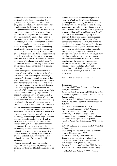of the actor-network theory at the heart of an epistemological debate. It seems that this question must be placed in a different level, a pragmatic one: what do we do with that? There is an important thesis in the actor-network theory: the idea of production. This thesis makes us think about the social not in terms of the relationships among men, but rather in terms of process. This may be an important lesson to psychology: rather than being about ties among individuals, it is about following the ties between human and non-human and, moreover, it is a matter of asking about the effects produced by such ties. The term social here does not denote the matter of which something is made, but the process through which the facts and cognition are built. Thus, a social psychology is not one that deals with man in society, but tracks and follows the process of producing men and objects. The non-humans have an acting; they produce effects on the world, change our actions, redefine our cognition.

 What consequences can we extract from the notion of network if we perform a strike of its characteristics on psychological knowledge itself? A Psychology of cognition, taken in this sense, is not about studying the general rules that characterize the functioning of each and every cognition. It is another sense of psychology that is unveiled, a psychology we could call an Aesthetic of Cognition, taking the word aesthetic in a wide sense of building, of production that does not come from valued prejudices, such as good versus bad. We say aesthetic of cognition in the sense of an immanence art which can only be referred to the plan of its practice, so that, from this point, it is possible for us to follow the way such cognition is produced. Cognition is understood from an uncertainty which must not be taken as a weakness, but rather as its creative power, as what it bears of network or rhizome. Psychology as knowledge about cognition would then be a knot of the actors' network and, as such, produced, negotiated, an effect of the impacts and negotiations between humans and non-humans. It is not anymore, as in the epistemological focus, a matter of evaluating the rationality of psychological knowledge. It is rather a matter of following, in the scope of its practices and studies, the way how a certain rationality, a certain form of intelligibility is produced.

 In my own research work I am studying cognition, specially perception, among blind children. My focus isn't to study cognition as an

atribute of a person, but to study cognition in network. Which are the alliances that make possible perception among the blind ones? I'm working with a theatre group of blind children, students of a special school for blinded people in Rio de Janeiro, Brazil. We are observing a theater group of 3 blind and 7 visual handicaps, from 11 to 15 years old. I consider this group as a cognitive field in which perception is engaged. Perception is a result, a consequence of the connections among the children, the characters, the play and everything that is related to the play. I am not interested in general rules that define perception, but what matters in this work is to follow the way perception is modified and created by the play. So, when we investigate how the blind perceive the world we want to ask about the *alliances that* are made at the same time between the world perceived and the subject. At last we try to discuss again the notions of subect and object, body and perception. I think that in this way it is possible to talk about Psychology as non-modern knowledge.

Author's Address: mmoraes@nitnet.com.br

#### **References**

CALLON, M.(1989) La Science et ses Réseaux. Paris, La Découverte.

CHERTOK, L. & STENGERS, I. (1990) O Coração e a Razão. A Hipnose de Lavoisier a Lacan. Rio de Janeiro, Zahar.

CRAWFORD, H. (1993) An Interview with B. Latour. The Johns Hopkins University Press, pp. 247-268.

DELEUZE, G. & GUATTARI, F. (1980) Introduction: Rhizomes, In: Mille Plateaux. Capitalisme et Schizophrénie 2. Paris FERREIRA, A. A diferença que nos une:

considerações sobre as condições de surgimento do campo psicológico em sua dispersão.

Arquivos Brasileiros de Psicologia, 52(3), 28-45, 2000.

LATOUR, B. (2002-a) A Dialog on ANT. Available at Internet via

www.ensmp.fr/~latour/articles/article/090.html. Accessed in September / 2003.

LATOUR, B.(2002-b) The Promises of Constructivism . Available at Internet via http://www.ensmp.fr/~latour/articles/article/087.h tml. Accessed in September / 2003.

LATOUR, B.(1999). On Recalling ANT. In: LAW, J. & HASSARD, J. (orgs) Actor Network Theory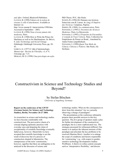and After. Oxford, Blackwell Publishers. LATOUR, B. (1998) Faktura de la notion de réseaux à celle d'attachement. Available at Internet via http://www.ensmp.fr/~latour/articles/1998.htm. Accessed in September / 2003. LATOUR, B. (1994) Nous n'avons jamais étés modernes, Paris.. LATOUR, B. (1988) How to Write the Prince for Machines as well as for Machinations. In: BRIAN, E. (ed.) Technology and Social Change. Edinburgh, Edinburgh University Press, pp. 20- 43. LEBRUN, G. (1977) L'idée d'épistemologie. Manuscript - Revista de Filosofia, v.I, nº 9, Unicamp, pp. 7-21. MORAES, M. O. (1998) Uma psicologia em ação.

PhD Thesis. PUC, São Paulo. SCHEPS, R. (1996) DO Humano nas técnicas. Entrevista com B. Latour. In: (org.) O Império das Técnicas. Campinas, Papirus. SERRES, M. (1968), La communication, Paris. STENGERS, I. (1993) L'Invention des Sciences Modernes. Paris, La Découverte. STENGERS, I. (1992) A Propósito da Psicanálise. A vontade de Fazer Ciência. Paris, Collection les Empêcheurs de Penser en Rond, , translated by Atalia Fontes (unpublished). STENGERS, I. (1990) Quem Tem Medo da Ciência. Ciências e Poderes. São Paulo, Ed. Siciliano.

# Constructivism in Science and Technology Studies and Beyond?

### by Stefan Böschen

University of Augsburg, Germany

#### Report on the conference of the GWTF (German Society for Science and Technology Studies), Berlin, November 26-27 2004.

As researchers in science and technology studies we have become comfortable with constructivism. The provocative charm of a concept aligning epistemic practices with everyday ones and disputing the claim of exceptionality of scientific knowledge eventually faded away, however. Meanwhile we have accepted that scientific knowledge is not the result of discovery but of a process of construction situated in laboratories. The omnipresence of the term 'construction,' however, signifies that there are ambiguities to be analysed in the discourse of science and

EASST Review Volume 24 (2005) Number 1 5

technology studies. What are the consequences to draw from this situation? Are we currently observing a change of paradigms?

 The presentations at the conference ultimately propose three possible answers to this key question. The *first* group of speakers made a plea for further development of the constructivist paradigm, but in a more sophisticated way. The strategies presented for refinement differed. One means is to analyse the inherent tensions of this paradigm and articulate the key problems to be resolved (Martina Merz). Another is to enlarge the scope of conditions and factors responsible for 'constructing,' e.g., with respect to gendersensitive technology development (Andrea Wolffram). A third is to refine central concepts such as 'interpretative flexibility,' and discuss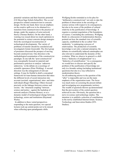potential variations and their heuristic potential (Uli Meyer/Ingo Schulz-Schaeffer). The second perspective related constructivism to concrete design. On the one hand, there was an emphasis on the creative spill-over to be obtained in a transition from constructivism to the practice of design, under the auspices of actor-network theory (Thomas Berker). On the other hand, a warning was issued about too much optimism in the potential to extract concrete design strategies from the sociological reconstruction of technological developments. The variety of problems of transfer should be considered and investigated (Armin Grunwald). The third group of presenters discussed the prospect of moving beyond constructivism. One direction is the methodological acumination of the constructivist paradigm. In one talk the "post-constructivist" was conceptually focused on material and performative practices to analyse 'unknown unknowns,' in the debate on a sociology of scientific ignorance (Peter Wehling). A second direction was the enlargement of relevant settings. It may be fruitful to draft a conceptual framework for trans-human interaction that takes the different levels of social interaction into account (societal, organizational, inter- and intraindividual) (Roger Häussling). Others focused precisely on the linkages between science and society - the "structural coupling" between science and justice - against the backdrop of network analysis (Thomas Heinze), or as a dynamic model of technological change between technology, actors and institutions (Raymund Werle).

 In addition to these varied perspectives responding to the main question, two special lectures took up central points not to be missed when reflecting upon paradigmatic shifts.

Wolfgang Krohn reminded us in his plea for "deliberative constructivism" not only to take the problem of observation in the sociology of science serious with respect to its consequences, but also to be aware of the problem of cultural relativity in the justification of knowledge. It requires a constant negotiation of the boundaries of science. Concluding the conference, Wolfgang Bonß, in a discussion of modernization theories, pointed out how the standard view of scientific capacity, established in the so-called 'first modernity,' is undergoing a process of relativisation. The production of scientific knowledge is not only a rational enterprise; the debates on scientifically induced catastrophes are also relevant to understand the dynamic of this evolution. What we observe in general is a shift from a "dialectics of enlightenment" to a "dialectics of scientification." As a consequence we would have to discuss and specify the problem of the justification of knowledge not only in a broader setting (including institutional questions) but also in a way reflected in modernization theory.

An all-embracing answer to the question of the "after" is impossible and was not the main emphasis of the organization team. The focus was much more on screening the present debate and investigating new programmatic territory. The wealth of questions thrown up demonstrated that the provocation of the central question achieved its aim. Obviously, the question hits a nerve in science and technology studies. The intention is to publish a selection of contributions in the newly established Internet-forum. Science, Technology and Innovation-Studies (STI-Studies).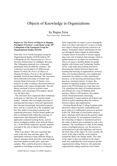## Objects of Knowledge in Organizations

## by Ragna Zeiss

Free University, Amsterdam

#### Report on 'The Power of Objects in Shaping Workplace Practices', a sub-theme at the  $20^{\text{th}}$ Colloquium of the European Group for Organizational Studies (EGOS)

From July 1st to 3rd the European Group for Organizational Studies (EGOS) held its  $20<sup>th</sup>$ Colloquium on The Organization as a Set of Dynamic Relationships in Ljubljana, Slovenia. The Colloquium attracted over a thousand participants from 44 different countries. The conference was divided in 43 different sub themes of which The Power of Objects in Shaping Workplace Practices, the sub theme I attended, received most abstracts. The convenors, Silvia Gherardi (University of Trento) and Antonio Strati (University of Trento), were inclusive in order to enhance discussion between participants with various backgrounds. The sub theme consisted of eleven sessions (some parallel), each consisting of five papers, spread over the three days.

 The convenors have organized other workshops in the past on what they call 'practice-based studies'. Scholars who investigate processes of learning and knowing in work and organization have become increasingly interested in practice (how activity is carried out in the workplace and how this relates to knowing in practice and organising processes). Practice-based studies are thus an emergent field within the sociology of organization and informed by different approaches (situated learning theory, activity theory, workplace studies, actor-network theory, etc.). At the EGOS conference specific attention was paid to the role of objects in learning and knowing.

 What is an object? This was a question that came to the fore time and time again. The participants referred to many different things as objects, amongst which networks, team meetings, electronic patient records, pens, and water samples. They could be discursive (ideas are regarded as real things in practice) or material.

EASST Review Volume 24 (2005) Numberl 7 7

Some argued that we cannot *a priori* distinguish what is an object and what not: we have to study how objects emerge and become referred to as objects. Sometimes objects and humans (if one can distinguish them) engage in relationships. Cristiano Storni (University of Trento) argued that a new unit of analysis then emerges which is neither human nor an object (or non-human). This is of course a familiar debate for people familiar with Science and Technology Studies (STS). I had really been looking forward to discussing the relation between objects and learning and knowing in organizations, however, often very localised practices were studied and sometimes the relation to wider institutional practices, or the knowing and learning in these practices, remained unclear. At times, this resulted in repeating insights well-known (at least) in the STS literature for some time now. Yet, sometimes the study of localised practices also offered new ways of thinking about practices. Below I will mention a few papers which I found particularly interesting (unfortunately I cannot mention all of them) and which revealed something about the relation between objects and organizations.

 Christian Heath (King's College London) spoke about how objects become commodified and given value in a collaborative process at auctions in the UK. With help of conversation analysis and a videotape which showed the gestures made by the auctioneer, he investigated in detail how the ownership of objects is transferred and how the value of objects gets constituted in only a few moments. The constitution of value in this setting seems a contingent process, yet, the process of auctioning has to provide legitimacy and trust in the final value of the object. In a few seconds, the career of the object and the social relations around the object can change totally. The value of the object is thus not inherent in the object itself, but established by social relations and the organizational setting. However, this particular organizational setting would not exist if there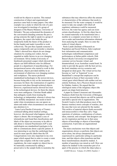would not be objects to auction. This mutual construction of object and organizational practices came back in many papers. One other example was a study in which the role of a pen was investigated in meetings of a group of designers (Ulla-Maaria Mutanen, University of Helsinki). The pen orchestrated the dynamics of the conversation (handing someone the pen is giving someone the right to speak in a group of designers; the expert who holds the pen temporarily holds the future of the product in his/her hands) and made it possible to work collectively. The pen thus expands someone's agency temporarily and can (re)order a situation.

 Other's showed how objects do not change situations by creating new orders, but are regarded as stable factors in an ever changing environment. Silvia Jordan (University of Innsbruck) presented a paper which showed that objects can fulfil different roles for different people in a department of anaesthesiology. For inexperienced nurses who started to work in this department, objects provided stability in an environment of otherwise ever changing routines and workplaces. The nurses preferred standardised technologies to the newest devices, because being able to rely on the instruments was necessary for them: the routinisation of cognitive processes took place through technical objects. However, experienced nurses showed less trust in the technological devices; for them the objects were more ambiguous. Christian Heath added that ambiguity results from treating the technology as independent, whereas it always has to be skilfully interpreted: one needs to know under what circumstances one can ignore an alarm and under what circumstances one needs to pay attention to it.

 Laura Lucia Parolin (University of Trento) continued talking about medical settings, however, she discussed what happens when the object is absent. She investigated a case of telemedicine and found that classifications and labels of the object are necessary to be able to talk about it. General Practitioners (GP's) and cardiologists use standardized typologies to be able to communicate about a specific patient. It was interesting to see that the cardiologist had a need for more specific labels than the GP. Categorisations were also important in my own paper which argued that in order to create a water sample that complies with the water quality regulations, the water sample (or object) has to be materially constructed by adding a preservative to the sample bottle to neutralise the

substances that may otherwise affect the amount or characteristics of the substance that needs to be measured. For the water company it would be easier to take one sample with which all regulatory substances could be measured, however, the water has agency and can resist certain classifications. At first the object has to be created materially to be transformed into a number at a computer screen later on where it can re-order and transform information obtained from analysing the sample. Here we enter the realm of virtual objects.

 Paolo Landri (Institute of Research on Population and Social Policies, Italy) explored how information and communication technologies redistributed competences and performances at Italian public schools. Dirk Bunzel (Keele University) investigated how customer service became virtual, and dematerialised, in an Australian coastal hotel. In order to provide the guests with the best service, the hotel simulates service scenarios and designed an ideal guest. The virtual service has become so 'real' or 'hyperreal' to use Baudrillard's concept that employees can be sanctioned on basis of their encounter with a virtual guest which Bunzel calls neither real nor entirely fictitious, but a Phantom (based on texts by Günther Anders). He argued that the ontological status of the imaginary object (the guest) can shape hotel practices.

 A paper by Gianni Lorenzoni and Alessandro Narduzzo (both from the University of Bologna) however stressed that objects can still be material and fulfil a special role in organizations. The Swatch Creative Lab (that produces most of the famous watches) stores concepts of watches, also the ones that were not selected for the market. This archive of material objects (both successful and unsuccessful) is what they call a 'huge repertoire of solutions, combinations of colours, ideas, material, and concepts' that designers can use for inspiration and that are in that sense objects of knowledge or objects of knowledge construction. It provides an organizational memory.

 The main conclusions were that objects and organizations always co-perform; that objects are never alone, but always interpreted and experienced in a particular setting at a particular time; and that objects often transform and that these transformations should be studied. A number of questions was raised as well. How can objects be studied? Is the researcher part of or apart of the practice in which the object plays a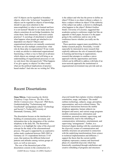role? If objects can be regarded as boundary objects, what is the 'in between' boundaries? If objects can be regarded as objects of knowledge, should we pay more attention to the unaccomplished, to what is not learned and how it is not learned? Should we not study more how objects sometimes do not bridge boundaries, but create them, limit interaction, and resist certain practices? A sociology of attachment is needed: what happens when people get attached to (or dependent on) objects? Objects and organizational practices are mutually constructed, but there are also multiple constructions: what role do these play in organizations? If one wants to study an artefact to understand organizational functioning, is there a way to find out in advance which objects are strategic and will bring us an understanding of organizational processes or can we only know this retrospectively? What happens if we give agency to objects? In other words: what are the political implications of practicebased studies? And who are we writing for? Who

is the subject and who has the power to define an object? If there is no object without a subject, is there a subject without an object? If the authority of the subject (an author, a doctor) is challenged, what happens to the object? (Robert Grafton Small, University of Leicester, suggested that academics going to conference might feel like an appendix to their paper, because it is the paper going to the conference and no one at the conference knows whether you really are the author).

 These questions suggest many possibilities for further research projects. Personally, I would especially be interested in more research that explicitly addresses the role of (material) objects in learning and knowing in organizations; research that attempts to combine a micro approach with the opportunities and limits (which can be difficult to address with help of an actor-network approach) the institutional or organizational environment may provide and set.

## Recent Dissertations

Oana Mitrea, Understanding the Mobile Telephony Usage Patterns. The Rise of the Mobile Communication 'Dispositif'. PhD thesis, Graduiertenkolleg "Technisierung und Gesellschaft" (postgraduate school "Technology and Society"), Technical University of Darmstadt, Germany, 2003.

The dissertation focuses on the interlaced rebuilding of communication, movement, and information due to the integration of the wireless telephony in the daily life. The theoretical objective is to highlight the value of the dispositif concept for the study of the aforementioned process. This goal is supported by an explorative online study conducted between 2002-2003 in Germany on 151 respondents between 13-65 years, that analyses the different behavioral patterns and attitudes among various groups of users, as well as non-users.

 The core of the theoretical part of the dissertation consists in the construction of a

EASST Review Volume 24 (2005) Number1 9

dispositif model that explains wireless telephony constitution, usage, and impact. The model outlines technology, subjects, usage, perception, representation, and socio-cultural frames. The reciprocal interactions between the mobile telephony apparatus, human subjects (as designers and users), and various usage programs (mobile communication, information and orientation, personal assistant, supervising, and entertainment), lead to the rebuilding of communication, information, entertainment, and supervising "arrangements". Further, in a historical chapter dealing with the constitution of the dispositif, avatars of communication and mobility structures are presented in connection with the underlying transformations from science to technical implementation and diffusion. I support the thesis that the current mobile telephony represents a mature and functional phase of a manifold dispositif, which has historically constituted through redefinition and creative rebuilding of programs and structures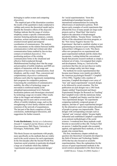belonging to earlier avatars and competing dispositives.

 The empirical part of the dissertation examines the results of the quantitative study conducted to validate and correct the theoretical model and to identify the formative effects of the dispositif. Findings indicate that the usage of wireless telephony creates a specific communication structure featuring particular purposes, content, situations, actions and partners, which is mainly oriented toward spatial and temporal coordination of communicators. The analysis also concentrates on the relation between mobile communication (verbal and written) and other communication forms enabled by face-to-face contacts or technical dispositives. Two positioning analyses of the existing communication forms in the situational and affective field (conducted through Multidimensional Scaling) show that the usage and perception of mobile telephony and SMS are subjects of interaction with the usage and perception of face-to-face communication, fixed telephony, and the e-mail. Thus, concurrent and complementary dispositives continuously influence each other by ingeniously manipulating their programs for competitive purposes. Concerning the constitution of communicative mobility, the effect of technology usage on movement is reinforced mainly at the attitudinal/representational level. Particular localization patterns and chronotypes structured by technology usage are revealed. Other results relate to the images and attitudes towards technology and its users and to several social effects of mobile telephony usage, such as the strengthening of close family relations and the extension of the network of acquaintances. The last part of the thesis comprises of study conclusions, methodological discussion, and suggestions for further research.

Yvette Bartholomée, Society as a Laboratory. Donald T. Campbell and the History of Social Experimentation, PhD Thesis, University of Groningen, Netherlands, 2004.

This thesis focuses on experiments with people, more specifically on the methods that are widely used in the social sciences for such experiments. In the first decades after the Second World War, American social scientists in particular developed a large set of methods which they dubbed 'experimental and quasi-experimental designs'

for 'social experimentation.' Soon this methodological paradigm became the international armamentarium for testing the effectiveness of ameliorative policies. Wellknown early examples of social experiments that affected the lives of many people are large-scale projects such as 'Head Start' that tried to improve the education of disadvantaged preschool children, 'Sesame Street,' testing the effects of the educational television program, or the 'New Jersey Negative Income Tax Experiments' that had to establish whether or not guaranteeing an income to poor working families reduced their willingness to work. This thesis offers new perspectives on experimental and quasi-experimental methods and the claims they incorporate. Looking behind the conventional façade that presents research methods as simply a technical set of rules, I investigated their origins and development. Doing so, I arrived at the conclusion that they do not just discover reality but also reshape reality into their image.

 The methods for social experimentation that became most famous were mainly provided by the American psychologist Donald T. Campbell (1916-1996). Together with a number of associates, Campbell developed a new array of 'true' and 'quasi-experimental' research designs to be followed by social scientists. The first publication on such designs was a 1963 book chapter entitled 'Experimental and Quasi-Experimental Designs for Research on Teaching' that Campbell wrote with the statistician Julian Stanley. Campbell and Stanley used the label of 'true experimental designs' for experiments comparing randomly composed groups of subjects, and that of 'quasi-experimental designs' for the alternatives used when random allocation of people to groups was impracticable. These designs with corresponding concepts such as 'internal' and 'external validity' became highly influential and established Campbell's reputation as an eminent methodologist of the social sciences. I wondered how these methods could become as successful as they did. Trying to find an answer, I studied the people who accepted, applied, and applauded these methods, as well as people who resisted them.

 The first, introductory chapter embeds my question into theoretical viewpoints developed in the field of Science and Technology Studies (STS) that has also focused on scientific experimentation. Since the explanations for the success of quasi-experimental methods in the social sciences propounded in this thesis bear on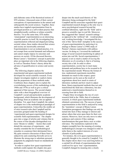and elaborate some of the theoretical notions of STS scholars, I discussed some of their current conceptions of experimentation in the natural and subsequently the social sciences. Together, these studies have toppled experimentation from its privileged position as a self-evident practice that straightforwardly confirms or refutes scientific theories. Yet at the same time, STS studies 'emancipated' experimentation as an interesting scientific practice in itself. By investigating how experimentation reflected and shaped prevailing societal values, these studies showed that science and society are inextricably entwined. Experimentation is not an isolated practice, it is not exempt from societal demands and influences and cannot simply impose its outcomes and answers on society. Of the discussed theories, Bruno Latour's 'translation' concept in particular plays an important role in the following chapters, as well as Theodore Porter's theory about the advance of quantification in science and society alike.

 The following chapters analyze the experimental and quasi-experimental methods developed for social scientific research. Every chapter investigates implicit or explicit claims that the proponents of these methods make. Combined, these chapters aim to explain the overwhelming success of this methodology in the 1960s and 1970s as well as give a critical appraisal of that success. The second chapter starts with a short biographical overview of Campbell's social and particularly academic background, which illustrates the development of psychology from an academic into an applied discipline. Yet, apart from Campbell, the subject of chapter two is the methodological paradigm of quasi-experimentation. It describes the sizable set of strict research rules that Campbell and his associates grouped under the heading of 'experimental and quasi-experimental designs for scientific field experimentation.' The chapter goes into a range of articles and volumes that in the course of four decades distinguished ever more 'threats to validity' – factors that could disturb the outcomes of experiments – and steadily extended the list of methodological remedies to counteract their detrimental force. My quite extensive discussion of these fears of subjectivity and countering firewalls serves to illustrate the strong urge to substitute personal judgments by judgments based on standardized procedures.

 In order to explore how quasi-experimental methods could expand, this chapter also goes

EASST Review Volume 24 (2005) Numberl 11

deeper into the much used rhetoric of 'the laboratory being exchanged for the field.' Campbell and his associates regarded their quasiexperimental research designs as the only way to move psychological research beyond the confined laboratory, right into the 'field' and to preserve scientific rigor in real life. Moreover, they suggested that 'natural' research settings – as opposed to the 'artificial' lab – would produce real, working knowledge. I investigated the key role of this 'lab-to-field' metaphor in the success of quasi-experimentation by analyzing it in analogy to Bruno Latour's (1988) study of Pasteur's famous experiments with anthrax vaccine. In doing so, I reversed the traditional image of social research transferring its sphere of action into real life. Social experimentation, I argued, is not so much a matter of leaving the laboratory as of *extending* it, that is of turning society into a lab. In order to allow experimentation, society has to meet many demands and problems have to be recasted to fit the experimental mould. Whereas the format of true, randomized experiments mostoften demands too much in this respect, quasiexperiments can be seen as the result of negotiations about how much to retain of laboratory methods and how much to adjust them. Quasi-experimental methods thus not only transformed the field into a laboratory, but also underwent a transformation themselves in crossing from lab to field.

 Chapter three investigates the rise of a new research field in the 1960s, that of evaluation research, in which quasi-experimental methods obtained a prominent role. The success of quasiexperimentation in this field is analyzed by using the 'translation' concept of Bruno Latour. Translation presupposes that findings can only be turned into facts if they manage to interest and attract others that seize upon them for their own reasons. Moreover, facts can only move to other audiences and contexts if they undergo transformations that grant them a new or wider relevance. The translations explored in this chapter exemplify how the meaning of existing methodological concepts was changed in order to tailor them to the explicit interests of a new clientele of policymakers.

 For instance, the term quasi-experimentation is generally thought to be coined by Campbell. Yet, this chapter shows that it was used long before as a catchall for all kinds of experimentation that could not live up to 'true' experimentation. Campbell changed its meaning into a clearly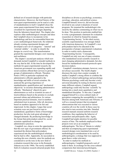defined set of research designs with particular characteristics. Moreover, the brief history of the term quasi-experimentation can be read as a tale of standardization in itself. Campbell chose the name quasi-experimental from many names that circulated for experimental designs departing from the laboratory-based ideal. The chapter also explores older methodological concepts and ideas that Campbell chose to incorporate in his methodology and how he reassembled them into a new methodological framework. He relabeled already existing experimental designs and developed a new set of categories – 'internal' and 'external validity' – in order to classify the designs in a novel way. This transformation granted the experimental designs a new meaning and usefulness.

 The chapter's second part analyzes which new demands incited Campbell to remodel methods in the way that he did. At the time he developed his methods for quasi-experimental research, the American government was expanding rapidly and social scientists offered their services to growing groups of administrative officials. Theodore Porter (1995) in particular explained why administrative officials appealed to the knowledge and skills of social scientists. He analyzed the growing importance of standardization, quantification and 'mechanical objectivity' in societies distrusting administrative officials. 'Mechanical' objectivity gave administrators as well as scientists an aura of trustworthiness based on the promise to exclude personal whims and arbitrariness. In various important practical domains, trust in numbers substituted trust in persons. After all, decisions based on numbers appeared to be fair and impersonal. In this chapter, I argue that social scientists were not just forced to turn to standardized, quantitative forms of knowledgeproduction, but also took great advantage of changed demands. By producing knowledge in the format that policymakers asked for, social scientists capitalized on changes in administrative practices.

 Campbell, too, chose to seize the opportunities that this new type of government offered. He translated the distrust that policymakers experienced into the methodological solutions that he had to offer. Apparently, he succeeded in reaching this new clientele, since his methods are considered to set the tone in the new field of evaluation research that arose in the Kennedy-Johnson era in the 1960s. The newly established field of evaluation research attracted people from

disciplines as diverse as psychology, economics, sociology, education, and political science. Campbell himself, however, did not become involved in any actual evaluations of social programs. He remained the methodologist who stood by the sideline commenting on what was to be done. This position in particular enabled him to write a programmatic statement for evaluation researchers in which he framed his utopian 'Experimenting Society.' In this ideal society, scientific experimentation was strongly linked with American democracy. In Campbell's view policymakers had to be educated in the prerequisites of proper experimental evaluations in order to realize such a democratic 'Experimenting Society.' Consequently, Campbell not only was one of many scientists who standardized social scientific research to meet changing administrative demands, but also forced his standardized research protocols upon decision-makers.

 Campbell's translation attempts, however, were not always successful. The fourth chapter discusses the most clear counter example. It studies Campbell's strong efforts to combine the benefits of cultural anthropology and psychology. Whereas psychology could only become a truly universal discipline by testing its theories across many different cultures, Campbell argued, anthropology could only become 'scientific' by turning into a much more quantitative and standardized discipline. To this aim, Campbell engaged himself in a cross-cultural study of perception comparing the susceptibility to visual illusions among both Americans and Africans, as well as a research project that investigated ethnocentrism that was executed in various countries all over the world. In these cases he also tried to turn societies into labs. Detailed research manuals ensured uniform research conditions, thus regulating the behavior of researchers and participants alike. Again, Campbell had ample attention for possible sources of bias. The methods employed in these projects were set as an example to anthropologists. The lists of 'threats to validity' and their accompanying quasi-experimental research designs were translated into a set of methodological considerations to be used by anthropologists; a strategy that was supposed to grant them a wider relevancy.

 In order to market his methods to anthropologists, Campbell proposed a sort of trade to them. In exchange for the cross-cultural comparisons that interested psychologists,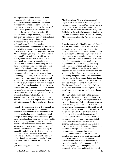anthropologists could be imparted in better research methods. Some anthropologists enthusiastically welcomed the standardized methods that Campbell presented. Others, however, were more reluctant. In the course of time, a more quantitative and standardized methodology remained controversial within cultural anthropology, which largely remained a qualitative discipline. The strategy of translation thus failed to gear cross-cultural research methods to the specific interests of anthropologists. The methodological improvements that Campbell and his co-workers presented to anthropologists as vital for their research were dismissed as completely irrelevant. Most anthropologists argued that they had their own, specific research themes, which they investigated with their own methods. On the other hand, psychology in general did not become a cross-cultural science. Only a small number of psychologists followed Campbell's example. Honoring him as a 'founding father,' they established a separate sub-discipline of psychology which they named 'cross-cultural psychology.' Yet, in spite of their endeavors to retrospectively turn Campbell's cross-cultural adventures into a success story, even nowadays their field is full of controversy, with methods at the root of the ongoing debate. The epilogue to chapter four briefly sketches the endless polemic between 'cross-cultural-psychologists' and socalled 'intercultural psychologists' which is the unintentional legacy of resistance to standardization by anthropologists in the past. The decisions made by Campbell and his allies still set the agenda for the issues heavily debated today.

 Finally, the concluding chapter five expands on the main issues in the previous chapters. It further discusses the argument that methods not only help to lay bare reality but also profoundly reshape it. Even though experimental and quasiexperimental methods claim only to show 'reality as it is,' they impose certain standards on the societal situations they study and thus remake society to their own image. In sum, these social scientific research methods simultaneously are shaped by and shape reality. This complexity, however, does not render research methods invalid and certainly not redundant. Rather, it makes them into much more powerful devices than simple sets of technical procedures and rules.

(ybartholomee@hotmail.com)

EASST Review Volume 24 (2005) Number1 13

Matthias Adam, Theoriebeladenheit und Objektivität. Zur Rolle von Beobachtungen in den Naturwissenschaften (Theory-ladenness and objectivity. On the role of observations in science). Dissertation Bielefeld University 2002. Published in the series Epistemische Studien, No. 2 (edited by Michael Esfeld, Stephan Hartmann, Mike Sandbothe), Frankfurt/M., Ontos-Verlag, 2002, 276 pp.

Ever since the work of Paul Feyerabend, Russell Hanson and Thomas Kuhn in the 1960s, the thesis of the theory-ladenness of scientific observation has attracted much attention both in the philosophy and the sociology of science. The main concern has always been epistemic. It was argued –or feared– that if scientific observations depend on prevalent theories, an objective empirical test of theories and hypotheses by independent observation and experience is impossible. This suggests that theories might appear to be well confirmed by observation, and yet it is not likely that they are largely true or empirically adequate. While some philosophers like Ian Hacking have argued that serious theorydependence is less common than often assumed, sociologists such as David Bloor, Stephen Shapin, Karin Knorr-Cetina or Harry Collins have based their constructivist programs for the sociology of science on strong claims of theoryladenness.

The study takes a fresh look on the epistemic problem of theory-ladenness and addresses two main questions. First, it is investigated to which extent various types of observation can be taken to be theory-dependent. Second, it is asked what the epistemic consequences of different types of theory-dependence would be. For the purposes of the study, a broad notion of observation is adopted which is intended to encompass the whole empirical basis of science. It therefore includes not only sensory perceptions, but also the empirical results of measurement and experimentation. A number of dimensions of observations are then distinguished, in particular the roles of perceptive faculties and of measurement instruments, the semantic constitution of observation results, and the scientific assessment of the trustworthiness of empirical results. The mode of theorydependence in each of these dimensions is assessed on the basis of arguments and findings from the psychology of perception, the philosophy of language and the philosophy of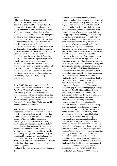science.

 The study defends two main claims. First, it is argued that the theory-dependence of an observation should not be considered an all-ornothing affair. Instead, observations can be theory-dependent in some of their dimensions, while they are theory-independent in other dimensions. In addition, while direct perceptions are often in many of their aspects theoryindependent, measurements that lead to sentential (as opposed to pictorial) data often draw on theories in many respects. Second, it is claimed that theory-ladenness should not be taken to be epistemically detrimental as such. Instead, the epistemic evaluation of theory-ladenness depends very much on the specific kind of theorydependence and the status of the influencing theory. Theories can have a positive epistemic role, for instance, when they contribute to expanding the range of observable phenomena or hint at possible sources of experimental error. It is argued, therefore, that observations can on the whole be taken to be objective not despite of their theory-dependence, but because they are partly theory-dependent, partly theoryindependent.

Hajo Greif, Wer spricht im Parlament der Dinge? Über die Idee einer nicht-menschlichen Handlungsfähigkeit, (Who Speaks in the Parliament of Things? On the Idea of Nonhuman Agency), PhD thesis, Graduiertenkolleg "Technisierung und Gesellschaft" (postgraduate school "Technology and Society"), TU Darmstadt, Germany, 2004. To be published by Mentis, Paderborn, autumn 2005.

This thesis in the philosophy of science undertakes a critical reconstruction of popular theories in the natural and social sciences that propose a revision of conventional notions of agency. Within the field of science and technology studies, Actor-Network Theory (as most prominently advocated by Bruno Latour) claims that non-human agents, from technical apparatus to science's would-be passive objects, are sharing and shaping human life-worlds. In evolutionary biology, Selfish Gene Theory (as introduced by Richard Dawkins) subsumes the explanation of the evolution, structure and behaviour of organisms under the laws of genetic replication, where genes appear as optimising economic agents.

14 EASST Review Volume 24 (2005) Number 1 In Part I, the two theories are compared in order

to identify methodological aims, structural properties and motifs common to them despite all apparent differences: Firstly, both theories, with regard to new evidence in their fields, aim at metaphorical redescriptions of their explananda for the sake of improving on established theories in the sociology of science and in evolutionary biology respectively. Secondly, in redescribing the behaviour of genes, microbes and other things as actions, categories of agency are not simply ascribed more liberally. Instead, the behaviours of agents in general, both human and non-human, are explained in terms of functions—as non-intentionally selected effects. Thirdly, those functions are analysed in a broadly semantic sense. The analyses amount to postulating the existence of meaningful relations in the world that do not presuppose speaker intentions in any way, while themselves forming necessary preconditions for the latter. Finally and consequently, both theories imply that there is no a priori possibility of distinguishing between intentional action and causal efficacy. Instead, the gradual emergence of intentional phenomena from non-intentional processes is proposed.

 In Part II, the above set of propositions distilled from Dawkins' and Latour's theories is matched against an explication adopted from the programme of teleosemantics. This programme in the philosophy of mind and language (as brought forward by Ruth Millikan and Fred Dretske) seeks to explain intentionality in terms of evolutionary history. On the basis of findings in biology and developmental psychology, it is firstly argued that naturally occurring representational functions, established by variation and natural selection, are historically and systematically prior to forms of linguistic behaviour. According to the observation that such functions occur at evolutionary stages where no conscious goal-directed behaviour obtains it is maintained that, secondly, intentionality as meaning is independent of intentionality as purpose. Thirdly, the rules and norms of linguistic representation, too, are held to be subject to (quasi-) evolutionary processes in speakers' life-worlds. Instead of being based on speakers' intentions and explicit conventions, the meaning of a word or sentence is fixed by repeated successful uses in the speakers' environment. In consequence, an evolutionary account of intentionality will not only provide a finely graded scale of intentional phenomena; it will also amount to reversing the standard philosophical order of intentionality, thus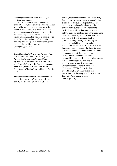depriving the conscious mind of its alleged privilege on meaning.

 Given this naturalistic, anti-rationalist account of intentionality, theories of the Dawkins / Latour kind, while not being able to prove the existence of non-human agency, may be understood as attempts at conceptually adapting to scientific and technological developments which are transforming human life-worlds in unanticipated ways. When the conditions of meaningful speaking thus change, such attempts may prove to be viable cognitive strategies. ( hajo.greif@gmx.net).

Ruth Mourik, Did Water Kill the Cows? The Distribution and Democratisation of Risk, Responsibility and Liability in a Dutch Agricultural Controversy on Waterpollution and Cattle Sickness, PhD Thesis, University of Maastricht, Faculty of Arts and Culture, Department of Technology and Society Studies, 2004.

Modern societies are increasingly faced with new risks as a result of the co-evolution of society and technology. From 1975 to the

present, more than three hundred Dutch dairy farmers have been confronted with cattle that experienced serious health problems. These problems were allegedly related to polluted surface water but science was not able to establish a causal link between the water pollution and the cattle sickness. Such scientific uncertainty typically accompanies new risks and causes difficulty in scientifically, politically, and judicially determining which party must be held responsible and or accountable for the situation. In this thesis the fierce controversy between the dairy farmers, governmental bodies, scientists and insurance companies is studied to establish how the distribution and democratisation of responsibility and liability occurs, when society is faced with these new risks and the accompanying scientific uncertainty. ( Present address: Energy Centre of the Netherlands (ECN), Policy Studies Department, Energy Innovations and Transitions, Badhuisweg 3, P.O. Box 37154, 1031 CM Amsterdam. E-mail: mourik@ecn.nl).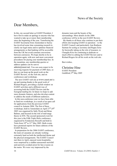### News of the Society

## Dear Members,

In this, my second letter as EASST President, I have first to make an apology to anyone who has wanted to take up or renew their membership since the beginning of the year. Transferring the EASST Secretariat from Amsterdam to Surrey has involved some time consuming research to clarify our legal status and to optimise financial arrangements so that banking will be accessible from the UK but avoid constant conversions between currencies. We hope shortly to be in operation again, with new and more convenient procedures for paying your membership fees. In the meantime, any membership queries or address updates can be sent to admin@easst.net .You can soon expect to be receiving requests for payment of 2005 dues, so that we can keep up the good work on the EASST Review, on the web site, and on conferences and workshops.

 The new EASST web site at www.easst.net is up and running thanks to the good work of Richard Rogers, providing a stylish window on EASST activities and a different way of accessing both the EASST Review and the Eurograd mailing list. In future we hope to add more dynamic features, and also develop content to address the needs of different audiences.

 In this non-conference year we have been able to fund two workshops, as a result of an open call for applications from the previous EASST council in Autumn 2004. The first of these workshops, held in Amsterdam on April 27<sup>th</sup>-29<sup>th</sup> 2005 was organized by Sally Wyatt and Brian Balmer, and focused on the role of mid-range theory in STS. The second sponsored event for this year is the Fifth Triple Helix conference, organized by Fondazione Rosselli and held in Turin from 18th to 21st May 2005. Both events have promised reports for future editions of the EASST Review.

 In preparation for the 2006 EASST conference, the team at Lausanne are already working extremely hard on both the intellectual theme and the physical arrangements. The EASST Council met there in April, enjoyed warm hospitality, were surprised by a sudden unseasonal snowfall and narrowly avoided arrest for fare evasion on the metro. We were very impressed by the

dynamic team and the beauty of the surroundings. More details on the 2006 conference will be in the next EASST Review.

 My thanks to all those who continue to put their efforts into keeping EASST in operation – to the EASST Council, and particularly Ann Rudinow Saetnan for acting as secretary and Ragna Zeiss for heroically taking on the role of treasurer, to Chunglin Kwa for continuing to dedicate so much effort to editing the EASST Review and to Richard Rogers for all his work on the web site.

Best wishes,

Christine Hine EASST President Guildford, 9<sup>th</sup> May 2005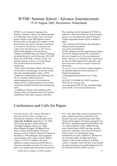## WTMC Summer School - Advance Announcement 15-19 August 2005, Ravenstein, Netherlands

WTMC is very pleased to announce that Professor Thomas J. Misa of the Illinois Institute of Technology (www.iit.edu/~misa) will be the anchor teacher for the 2005 Summer School. Professor Misa is the author of a number of wellknown books and articles. His most recent book is Leonardo to the Internet, Technology and Culture from the Renaissance to the Present (2004, Johns Hopkins University Press). Together with Philip Brey and Andrew Feenberg, he edited Modernity and Technology (2003, MIT Press). His 1998 book, A Nation of Steel, The Making of Modern America, won the Dexter Prize for Best Book in the History of Technology.

 While much of Professor Misa's work focuses on the history of technology, he has also written about the (inter)disciplinary nature of STS, comparative methodologies and technology and the city. Professor Misa's interest in understanding processes of socio-technical change will be a useful perspective for everyone concerned with both historical and contemporary cases.

 In addition to lectures and workshops led by Professor Misa, the Summer School will include contributions from other scholars in the field.

The workshop will be facilitated by WTMC coordinators, Sally Wyatt (Summer School contact person, s.m.e.wyatt@uva.nl) and Els Rommes. Further programme details will be available in April.

 The workshop will be held in the usual place, Studiecentrum Soeterbeeck

(www.kun.nl/soeterbeeck).

WTMC members have the opportunity to register first for the Summer School. We would like to ask you to register early if you are planning to attend. That way, we will know how many places we have for PhD students from elsewhere, and how much more widely we need to extend our advertising.

To reserve your accomodation, please complete the attached registration form and mail it to Marjatta Kemppainen:

u.m.kemppainen@utwente.nl by 15 May. Costs:

-fee EUR 555 (PRIME & EASST members); EUR 645 for everyone else.

-accommodation EUR 45 (incl. breakfast)/night -meals EUR 25 for lunch and dinner/day

## Conferences and Calls for Papers

Invisible Enemies: The Cultural Meaning of Infection and the Politics of Plague, an international conference, will take place at the University of Zürich, September 21-24, 2005. The keynote speakers: Sander Gilmann, Christoph Gradmann, Ilana Lowy, Ruth Mayer/Brigitte Weingart, Wolfgang Preiser, Nancy Tomes, Paul Weindling. Infectious diseases are back. With the commercial launch of penicillin in 1945 pathogenic microorganisms seemed finally under control; with the WHO' s victory in 1979 over smallpox, the great epidemics seemed conquered and the threat of infection practically overcome. Yet only a year later, a new deadly infectious disease came to the

EASST Review Volume 24 (2005) Numberl 17 17

fore: Aids. Since then, infectious diseases have made a global come-back: tuberculosis, the disease of poverty is proliferating in the Third World and the ghettos of Western metropolis; the HI-Virus is spreading along the labyrinthine ways of sexual encounters or like wildfire through some African States; SARS and other possibly deadly new influenza viruses from the South of China travel to new destinations along international air routes. Epidemics, old and new, are eminently global. In-depth and critical analysis of the current situation in its global context is required, which will have to go beyond the purely biochemical or epidemiological levels. For infectious diseases follow not only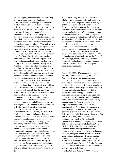epidemiological, but also cultural patterns; they are fought using measures of defense and protection, which have always combined both military and hygienic-medical dispositives. In order to understand their history, we need to pay attention to the political and cultural logic of infectious diseases, their mode of action, and social attitudes towards them. They are associated with a myriad of phantasms and fears. Even their medical description is structured by metaphors rooted not in the laboratory but in political and cultural traditions. Tuberculosis was considered by the 19th century bourgeoisie to be chic, while cholera was feared as an asiatic or oriental disease. Syphilis on the other hand was taken to be a sign of threatening female sexuality. And after World War I, typhus was fought as a characteristic disease of East European Jews, down to the genocide of these \_ bacillus carriers during World War II. In the last twenty years, Aids has been associated first with gays, then with loose sexual morality before it turned into an unfortunate disease plaguing the Third World and SARS might well become an asiatic disease. Many of these representations are rooted in the language of bacteriology, which from its beginnings in the 1870s spoke of pathogenic microorganisms as invisible enemies to be conquered in the body, just as defensive military battles are a matter of life or death for the social organism. Only recently has the idea of an 'equilibrium' or of 'co-existence' between humans and microbes gained ground, not only in immunology but also in popular perceptions. Discourses about infection feature tiny, invisible, contagious and uncontrollable organisms as well as transgressions of boundaries through intimate or fleeting contact. Infection immediately conjures up quick proliferation and dissemination, and the uncanny and potentially deadly transmission of infectious diseases. Infection readily supplies a host of metaphors for describing social processes in the language of epidemics. In our age of increasingly global networking and circulation of people and goods, infection has become the master metaphor. It shapes the emergent political and social discourse of order and its associated technologies of surveillance for controlling borders and immigration; which might be understood as reactions against the potential uncontrolled contacts, migrations and disorder brought by globalization. Such discourses culminate in the - largely Western -- fear of bioterror, e.g. the fear of a generalized attack by islamistic terrorists or

'rogue states' using anthrax, smallpox or the Ebola-virus as weapons; and which justifies a heightened level of epidemic control on the part of States. This international conference at the University of Zurich is devoted to the discussion of cultural perceptions of infectious diseases and their metaphorical spin-offs in past and present political discourse. We aim to bring together epidemiological investigations with cultural and social analyses of public discourses on infectious diseases and their political dimensions. Historical contributions will situate contemporary discussions in the wider historical context, and provide points of comparison between older conceptions and phantasms associated with plagues with contemporary representations and political action. Contributions from the fields of epidemiology, history, sociology, literature, philosophy and cultural studies are welcome. For more information, contact Myriam Spoeri, spoerri@fsw.unizh.ch.

For its 10th EURAS Workshop to be held in Tallinn, Estonia on June 2 - 3, 2005, the European Academy for Standardization (EURAS) solicits papers on all aspects of standards and standardisation, and in particular on those related to standardisation in an enlarged Europe. EURAS workshops are interdisciplinary. Sample topics include, but are not limited to: Standards and technology; Economics of standards; Standardisation policies; Legal and regulatory issues in standardisation; Standards setting and implementation processes; History of standards and the future of standardisation; Impact of standards; and Education on standardisation. We welcome theoretical and empirical work, academic case studies as well as contributions from standardisation practitioners. Full papers (up to 20 double-spaced pages; pdf or MS-Word format) should be submitted, preferably by e-mail, to Jörg Gröndahl (groendahl@econ.uni-hamburg.de), Department of Economics, University of Hamburg, Von-Melle-Park 5, 20146 Hamburg. Authors of accepted papers will expected to serve as discussants upon request. All papers will undergo a double blind peer-review process. Particularly good and relevant papers will be fast-tracked through the review processes of the EURAS-Yearbook or of the Int. Journal of IT Standards and Standardization Research (JITSR). For more detailed information, please consult the EURAS website (www.EURAS.org).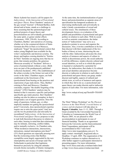Murat Aydemir has issued a call for papers for Indiscretions: At the Interaction of Postcolonial and Queer Theory. Ross Chambers' analysis of the gay sexual "tourism" of Roland Barthes, both abroad and at home, stands as a challenge to those assuming that the epistemological and political projects of queer theory and postcolonialism are self-evidently governed by the same spirit, or garner similar effects (Loiterature, 1999, 250-69). According to Chambers, Barthes' anti-narratives of cruising, whether set in the commercial district of Saint-Germain-des-Prés in Paris or in Morocco, studiously "forget" the (post)colonial context that makes young Maghrebi men available for the writer's melancholic and desirous scrutiny. The dreary and hapless cruising detailed in "Soirées de Paris" furnishes an ongoing story that has no point, that remains pointless; the generous Moroccan sexuality of "Incidents" delivers a series of pointed details without a story. (Both texts are part of the posthumously published 'collection Incidents', 1992.) The establishment of the urban everyday in the former text and of the exotic in the latter, Chambers argues, are both conditional on the foreclosure of the (post)colonial from bearing on the practices and expressions of gay male desire. Thus, Barthes' cruising in Paris and Morocco, Chambers concludes, requires "the double forgetting of the colonial." (258) Chambers' analysis may be limited in that it concerns a specific (and perhaps specifically gay male) practice. But Chambers' reading can also be taken as exemplary in that it foregrounds a set of urgent questions. Does the study of queerness, lesbian, gay, or other, implicitly mandate not getting the (post)colonial point? Conversely, does (post)colonial expertise require one to miss the queer point? And, how can the two be productively and relevantly be recombined? Indiscretions: At the Intersection of Postcolonial and Queer Theory proposes to take to task both theoretical discourses in relation to each other, bearing in mind that that relationship may be intimate, mirroring, conflict-ridden, and/or mutually exclusive. As Chambers asks, "What incidences-interactions, intersections, intrications, mutual interruptions-join them?" (251) Such questions are especially pressing now that the exoticizing erotics that Barthes exemplifies seem largely superseded by the new islamophobia and racism of Europe (and The Netherlands in particular) that legitimize themselves precisely by citing the attitudes towards (homo-)sexuality of Islamic immigrants.

EASST Review Volume 24 (2005) Numberl 19

At the same time, the institutionalization of queer theory and postcolonialism as separate areas of specialization has hampered academics in intervening intellectually and activistically in today's heady concatenation of sexual and cultural issues. The simultaneity of these developments forces a re-evaluation of the pitfalls and possibilities of postcolonial and queer politics in relation to each other. With its social as well as semiotic connotations, the titular notion of "indiscretions" may serve as a productive pointer to access and organize the discussion. Also, it invites contributors to be less than discreet with their employment of the two bodies of theory at issue, intersecting the one with the other. Indiscretions advocates the close analysis of instances and aspects of culture in which a) discretionary power, the social authority to tell the difference, renders discrete cultural and sexual identities, as well as in which this power is haunted or enchanted by a potential for density, for indiscretion, that eludes it; b) cultural and sexual identities and practices become discrete or indiscrete in relation to each other; c) postcolonial and queer theory can grasp, render discreet and legible, aspects of cultural and artistic texts, as well as of instances and aspects in which they fail to do so; c) postcolonial and queer theory can render discrete and/or indiscrete aspects of each other. For more information, refer to

http://www.rodopi.nl/senj.asp?SerieID=THAMY RIS.

The Third "Milano Workshop" on The Physical Sciences in the Third World: A social history of science and development will take place in Bogotá, Colombia, June 11-13, 2005. Through a Grant awarded by the Universidad Nacional de Colombia to Commemorate the World Year of Physics 2005, we are pleased to offer accommodation to participants in case of financial hardship. Thanks to an agreement between the University and the Intercontinental Hotel Tequendama, participants will be accommodated at this 5 stars hotel (http://www.inter-tequendama.com.co/). To apply contact: meeting05 bog@unal.edu.co. Deadline: 15 april, 2005. The organization of the Workshop continues to explore alternatives to offer further support to participants interested in presenting papers. For more information: http://www.fisica.unal.edu.co/milano/index.html or http://www.brera.unimi.it/milan/start.html.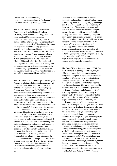Contact Prof. Alexis De Greiff, meeting05\_bog@unal.edu.co or Dr. Leonardo Gariboldi, leonardo.gariboldi@unimi.it.

The Albert Einstein Century International Conference will be held at the Palais de l'Unesco, Paris, France, 18-23 July, 2004. (See http://einstein2005.obspm.fr; contact meeting.einstein2005@obspm.fr.) The main purpose of this international conference is to put in perspective the work of Einstein and the recent developments of the following (potential) scientific and philosophical topics : Cosmology, Theory of Unification, Theory of the Gravitation and Nature of Space - Time, Compact Objects and high energies phenomena in the Universe, Nature of the Quantum World, Brownian Motion, Philosophy, Politics, Biography and other aspects. It will be a question of seeing how the questions raised by Einstein, approximately one century ago, guided the scientific research though sometimes the answers were founded in a way which was not considered by Einstein.

The 7th Conference of the European Sociological Association (ESA), Rethinking Inequalities, will be held on September 9-12, 2005 in Torun, Poland. The Research Network Sociology of Science and Technology (SSTNET) has announced that changes in society and in science and technology have led to an erosion of traditional institutional boundaries between these spheres. Nowotny, Scott and Gibbons use the term Agora to describe an emerging new public space "where science and society, the market and politics co-mingle." The Agora denotes a space in which knowledge is contextualized. What is emphasized here for scientific knowledge is not completely different with technical knowledge. Boundaries of science and technology are transgressed by politics, economics and the civil society. This phenomenon is not completely new. But more than in the past science and technology are evaluated by utilitarian standards and expected to produce novelty and innovation. At the same time, however, the social impact of these innovations is critically assessed. Frequently the evaluation process includes the public communication of the products and results science and technology deliver - their potential risks as well as their benefits. Among these issues are those concerning a redefinition of certainty and uncertainty, the known and the

unknown, as well as questions of societal inequality and equality. If (scientific) knowledge is a building block of contemporary (knowledge) societies how can public access and participation in the process of knowledge generation and diffusion be facilitated? Do new technologies such as the Internet mitigate societal divides or do they create new ones. Generally, the public plays a more decisive role with respect to issues of accountability, responsibility and legitimacy or transparency and democratic control in the process of development of science and technology. Public communication and understanding of science and technology also encompasses visions, values and ethics conveyed in funding programs, in academic journals and by news journalists. SSTNET website: http://sstnet.iscte.pt; ESA conference website: http://www.7thesaconference.umk.pl.

The Digital World Research Centre (DWRC) at the University of Surrey, Guildford, UK, is offering an inter-disciplinary postgraduate programme designed to equip students with the social scientific resources to investigate the role of digital technologies in society, and the technical resources to contribute towards their ongoing development. The programme combines modules from DWRC and other Departments, particularly Sociology and Computing. It will also bring together people from variety of backgrounds. It will provide students with the skills required for a range of jobs involving digital technologies in the IT industry. In particular the course will enable students to: examine these digital technologies and their place in society in a critical and theoretically informed way and utilise a range of research methods to assess the impact of digital technologies; to develop an appreciation of the processes involved in the design of digital technologies; to develop the skills required for analysis and synthesis, communication and presentation, computing, critical reasoning, data analysis, organisation and planning, report and essay writing, problem solving, and interactive group work. This full-time programme is suitable for students with first degrees in social science or computer science. DWRC is a multidisciplinary unit within the School of Human Sciences. It covers sociology, psychology, economics, human factors and human-computer interaction. The University of Surrey campus is located in landscaped grounds just outside Guildford town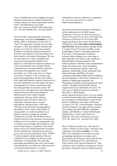centre. Guildford has a lively nightlife and good transport connections to London (50 kms) and London airports. For further information contact: Email: l.hamill@surrey.ac.uk; Web: http://www.surrey.ac.uk/dwrc/MSc/index.htm; Tel: +44 1483 689446; Fax: +44 1483 689550.

The 9th Nordic Youth Research Information Symposium, to be held in Stockholm on 12-14 January 2006, is dedicated to Landscapes of Youth. The landscapes of youth vary over time and space: within more affluent countries and groups we see the rise of new trans-national formations of cultural identities and political activities involving new social movements, not least related to new media technologies. We also see new patterns of values, including those around sexual and gender identities, new practices in education and classroom cultures, as well as post-national ways of (inter)cultural communication, increased mobility, migration and tourism that engender cross-cultural encounters, etc. At the same time, we witness new kinds of cultural, social, economic and political marginalisation, divides and conflicts, both within and between countries. Resources are unevenly distributed across the globe and many young people live in poor circumstances that have changed little over the last century. We need to know more about how such cultural and societal processes affect young people in different parts of the world as regards employment, housing, family situation, education, leisure activities, health, risk, criminality, substance abuse, societal participation, and much more, while also reflecting on the historical and geographical specificities of life contexts and cultures of young people. As youth researchers we are deeply involved in creating the symbolic constructions of youth. We therefore need to confront ourselves with questions concerning the influences of our accounts on young people, and to evaluate our knowledge and its biases, as well as our social origins as researchers. We should reflect on how our research questions are posed. All this certainly has a bearing on the answers given, and on actions and policies taken. NYRIS 9 welcome papers and presentations that can contribute to new insights into all areas of the landscapes of young people. We especially encourages presentations that with a self-critical, trans-disciplinary eye reflect on youth research as a social and cultural process. For more

EASST Review Volume 24 (2005) Numberl 2008 2008 21

information on abstract submission, registration, etc., see www.sh.se/nyris9, or contact fredrik.stiernstedt@sh.se.

The Society for the Social History of Medicine invites submissions for its 2006 Annual Conference, Practices and Representations of Health: Historical Perspectives, to be held at the University of Warwick on 28-30 June 2006, organised jointly by the Centres for the History of Medicine at the Universities of Birmingham and Warwick. Keynote speakers include: Susan E. Lederer (Yale University), Geoffrey Lloyd (Cambridge), Charles E. Rosenberg (Harvard University). The Programme Committee welcome offers of papers on a wide range of topics that link to the theme of the conference, but particularly encourage papers on the following themes: alternative and complementary health movements; airs, waters and places; medicine and emotions; theatre, music and medicine; child health; old age and death; body shape and image; disability; race, postcolonialism and health; health and the workplace; the historiography of the history of medicine. In addition to single-paper proposals, the Programme Committee seeks proposals for panel sessions. All papers should ideally present original work not yet published or in press. We invite you to submit an abstract by email by 1 May 2005, to Molly Rogers (molly.rogers@warwick.ac.uk). If you are unable to submit electronically, please send eight copies of your abstract to Molly Rogers, Centre for the History of Medicine, University of Warwick, Coventry CV4 7AL, United Kingdom. Abstracts should be limited to one page and must include your mailing and email addresses, telephone number, and affiliation. Contact Molly Rogers, Administrator, Centre for the History of Medicine, University of Warwick, Coventry, CV4 7AL, Direct Tel: +44 (0)24 7657 2601.

Ways of Making and Knowing: The Material Culture of Empirical Knowledge is the title of the conference to be held in London 11-15 July 2005. The conference is to be held at several participating institutions in London and is sponsored by the Wellcome Trust Centre for the History of Medicine at UCL, the Wellcome Trust, and the Yale Center for British Art. This conference aims to build on exciting new work in the history of material culture to break down the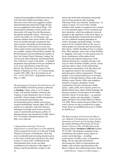common historiographical dichotomies between craft skill and scientific knowledge, and to showcase some of the most suggestive studies demonstrating that natural knowledge flowed from an engagement with natural things. The chronological orientation of the lectures and discussions will range from the Renaissance through the nineteenth century. Historians of science and medic! ine, art historians, and museum scholars from various fields will learn from one another through a programme that mixes lectures with hands-on demonstrations. The conference will be held on several sites where expert curators and representative objects are available, namely Chelsea Physic Garden, the British Museum, the Royal Botanical Gardens at Kew, the Natural History Museum, London, the Victoria and Albert Museum, and Painshill Park. The conference is open to the public. A detailed programme and registration form are available on www.ucl.ac.uk/histmed or from Ms Carol Bowen, The Wellcome Trust Centre for the History of Medicine at UCL, 21! 0 Euston Road, London NW1 2BE, UK (c.bowen@ucl.ac.uk Tel:  $+442076798163$ ). Registration closes on May 15, 2005.

The International Forum for Social Sciences and Health (IFSSH) will hold its annual conference in Istanbul, Turkey, from 21 to 26 August. Topics will include: bioethics; bioterror and weapons of mass destruction: fact or fiction; ecohealth: climate change, health consequences of environmental deterioration and environmental policies; health social science research methodology; human rights, HIV/AIDS and the new epidemics; infectious diseases: challenges for health social science research; issues in rural health and disease; politics of pharmaceuticals; and reproductive health: what is new? For further information please visit http://www.ifssh.net.

A Special Issue of Gender, Work and

Organization on Sexual Spaces is to be edited by Alison Linstead (University of York) and Torkild Thanem (University of Stockholm). There has been considerable and increasing attention given to the issues of both space and time in the social sciences in recent years. Globalization and informatization have on the one hand, contributed to the reduction of the impact of distance and the peculiarities of place as the

speed with which both information and people can travel has produced what Armitage, following Virilio, has called the "dromocracy", or culture of speed. Yet even in this virtually enabled world, studies of complexity have alerted us to the potential impact of local variations and their intensities, which has produced a renewed attention to the importance of the local. Space, as Castells and Bauman in particular have pointed out, has a different meaning dependent on relative advantage and disadvantage. Yet there seem to be few symbolic limits on the ways in which people can reinscribe and reterritorialize their spaces, whether deciding on how to arrange their office furniture, what to do on their holidays or "dogging" in the park. For this special issue we invite contributions which address both theoretical and empirical dimensions of the relations between sex, sexuality and space; the ways in which all kinds of public, private, virtual and inner spaces where sexual relationships, performances and identity work take place and are organized; and how the sexualizing of particular spaces affects organization. This may include: Cross-cultural dimensions of sexuality; Studies of red-light districts; Dance clubs, discos; Holiday resorts; Hotels; Office and workplace dynamics; Factories; Hospitals; Virtual communities; Hi-tech environments; Public spaces - parks, malls, town squares, arenas etc.; Health-related issues; Space-related language and discourse analysis; Sexual spaces in the media and film; Genres of sexual space - e.g. pastoral, romantic, techno, post-apocalyptic. Complete papers should be sent to both editors by March 31st 2006. Please contact the guest editors if you wish to discuss an idea or proposal for a paper. Email Alison on aml500@york.ac.uk or Torkild on tt@fek.su.se.

The Representation of Controversial Objects: New Methods of Displaying the Unruly and the Anomalous in Science and Technology Studies, the Annual Meeting of the Society for Social Studies of Science (4S), will take place in the Pasadena Hilton, Pasadena California October 20-22 2005. The program committee invites contributions that explore unruly objects in science and technology -- including controversial, invisible, secret, or anomalous things. We are especially interested in showcasing new forms of representation and display, and welcome experimentation with theory, method, and conferencing modes. Please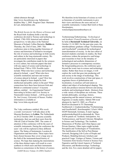submit abstracts through http://www.4sconference.org. Submission deadline May 1, 2005. Program Chair: Marianne de Laet, delaet@hmc.edu.

The British Society for the History of Science and the Royal Irish Academy holds a one-day conference devoted to 'Science and technology in Ireland, 1780-1920: historical and cultural perspectives,' to take place at the National Museum of Ireland, Collins Barracks, Dublin on Thursday, the 23rd of June, 2005. This conference aims to bring together historians of science and historians of Ireland to investigate the role of science and technology in Irish society and culture in the long nineteenth century. We are particularly interested in papers that investigate the contribution made by the sciences to civic culture, but welcome papers that deal with any aspect of science and technology in Ireland from 1780 to 1920. Possible topics include: What roles have science and technology played in Ireland\_ s past? What roles have scientific institutions and men and women of science played in Ireland\_ s past? How has science shaped or been shaped by Irish intellectual and public culture in the past? What connections have there been between Irish and British or continental science? A keynote address, entitled \_ An Experimental Nation? Innovating in Science and Civic Society in Nineteenth-Century Ireland\_ , will be given by Dr. Jim Livesey, University of Sussex. Further information is available at http://www.bshs.org.uk/conf.

The 3-day conference entitled, Who needs scientific instruments? will take place at the Museum Boerhaave in Leiden, The Netherlands on 20-22 October 2005. It concerns scientific instruments, their use and their users from the 19th till 22nd of October 2005. The centre of attention of this conference will be the users of scientific instruments. During the conference the users' role will be explored in three different topics: The Status of Instruments; Location & Organisation and Innovation. These topics have been chosen because they cover a large area in the field of the instrument-based history of science. We hope that studying the interrelations of the three distinct topics will result in a new synthesis in which users and their instruments function as cornerstones in the history of science.

EASST Review Volume 24 (2005) Number1 23

We therefore invite historians of science as well as historians of scientific instruments to give their views and discuss the users and use of scientific instruments. Contact Bart Grob or Hans Hooijmaijers, wetenschap@museumboerhaave.nl.

Technisierung/Āsthetisierung - Technological and Aesthetic (Trans)Formations of Society will be held at Darmstadt Technical University, on October 12-14 2005. For the past nine years, the interdisciplinary graduate college "Technisierung und Gesellschaft" considered the technological (trans)formation of society. As the last cohort of doctoral students concludes its studies, the final conference widens the perspective and brings past researches to bear on the interplay of technological and aesthetic dimensions of formative processes in contemporary societies. By foregrounding process, the conference goes beyond the iconic turn in science and technology studies. Rather than focus on images, it will explore the work that goes into producing self and society in the image of technology. This work involves constructions of time and space, it negotiates forces of globalization and localization, it construes self and nature as subject and object of technological shaping. This work also produces tensions between and among aesthetic and technological ideals. Abstracts from a wide variety of disciplines are welcome. These include philosophy, sociology, history, engineering and the natural sciences, art history, linguistics or media studies. Submit 500-word abstracts by April 22, 2005, as a Word or RichText document to TU Darmstadt, Fachbereich 2, Graduiertenkolleg ?Technisierung und Gesellschaft?, Karolinenplatz 5 (Fach 1404), 64289 Darmstadt, Germany, E-mail: tagunggraduiertenkolleg@ifs.tu-darmstadt.de. There will be panels on: Aesthetic Anticipation; Art, Technosciences, and Social Criticism; Metaphors in Science and Technology; The Aesthetic Dimensions of Warfare and Urban Spaces and Private Quarters. Other topics might include: Perception and Technologies of Visualization; The Justification of the Self as Post-Human Artwork; Designing Life-Cycles of People and Products; Modeling between Artefacts and practical Usage; Vestiges of Nature; Visions and Visionaries from Science Fiction to Science Fact; Figurative and the Literal Aspects of Technical Discourses; and Bordercrossings: Technology and the Arts. For a more detailed call for papers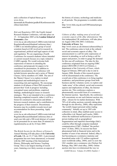and a collection of topical theses go to www.ifs.tudarmstadt.de/fileadmin/gradkoll/Konferenzen/abs chluss/main.html.

Risk and Regulation 2005, the Fourth Annual Research Student Conference, will take place on 15 - 16 September 2005 at the London School of Economics. (See

www.lse.ac.uk/collections/CARR/events/riskAnd RegulationResearchStudentConference.htm.) CARR is an interdisciplinary group of social scientists based at LSE involved in research in organisational, political and legal aspects of risk and regulation. We are organising a Fourth Conference for research students whose intended or current research focuses on a topic related to CARR's agenda. We would welcome both expressions of interest in attending the conference and proposals for papers to be considered for presentation. In addition to students' presentations, the Conference will include keynote speeches and a series of 'Master Classes,' led by members of CARR. The aim of the 'Master Classes' is to explore in detail conceptual and methodological issues in researching risk and regulation. We encourage students in all phases of their PhD research to present their 'work in progress' including conceptual issues and problems, empirical findings, methodological issues or research strategies. This is not intended to be a conference featuring completed research; rather it will be a forum for constructive discussion and debate between research students, and a contribution to the progress of their research. Discretionary bursaries may be available towards travel and accommodation for those presenting. Apply online at:

www.lse.ac.uk/collections/CARR/events/riskAnd RegulationResearchStudentConference.htm or send your title and a 200-word abstract of a paper (to be presented for no more than 20 minutes) to regulation@lse.ac.uk by 24 June 2005.

The British Society for the History of Science's Annual Meeting will take place at the University of Leeds, UK, on 15-17 July 2005. A provisional programme has now been announced, co-located with the 2005 meeting of the International History, Philosophy and Science Teaching Group. This is our largest meeting of recent years, featuring over thirty sessions on aspects of

the history of science, technology and medicine in all periods. The programme is available online at

http://www.bshs.org.uk/conf/2005annual/progra mme.html.

Cultures of eBay: making sense of social and economic aspects of the eBay 'phenomenon,' the first independent UK conference, will take place on August 24th-25th 2005, Colchester,

### University of Essex. See

http://www.essex.ac.uk/chimera/culturesofebay.h tml. The conference aims to look at the cultural, social and economic aspects of eBay. The announcement is a call for early expressions of interest in attending, as well as being a call for papers and posters, in order to gauge the demand for this one-off conference. The idea for this conference originated from an ongoing ESRC project (RES-000-23-0433) at Chimera, a department of the University of Essex, which began in February 2004 and is due to end in January 2006. Results of this research project will be disseminated at the conference. The overall aim of this conference is to bring together academics, and practitioner groups from both business and the voluntary sector, to explore and 'make sense' of the cultural, social and economic aspects and implications of eBay, the Internet auction site. This conference explores a phenomenally successful form of e-commerce, the Internet auction. Specifically, the conference will concentrate on one such Internet auction site, eBay - chosen for its market dominance. With 70% of all online auctions currently taking place through its site (Rowley, 2000), eBay represents 'the world's largest personal online trading community'. Initially set up in 1995 with collectors in mind, eBay enabled easier access to collectibles (vid. Bunnel and Luecke, 2000) where the traditional inefficiencies of person-toperson trading such as geographical fragmentation and imperfect knowledge (ibid.) could be offset through computer-mediated communication (CMC). Dubbed "the perfect store" (Cohen, 2002), its success has been phenomenal both in financial terms and in the number of users it has attracted. Indeed, eBay is fast becoming an e-commerce mainstay and household name with 125 million registered users worldwide (eBay, 2004), and it is now the UK's number one e-commerce site (Nielsen Net Ratings, May 2003 cited eBay, 2004). Online auction sites have revolutionised the way we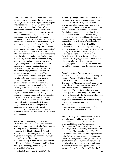browse and shop for second-hand, antique and collectible items. However, they also provide new ways and new spaces to perform and display knowledges and 'knowingness,' particularly in relation to material culture. eBay differs substantially from almost every other 'virtual store' or e-commerce site in carrying a stock of mostly second-hand items, which are described and loaded on to a database by thousands of individual sellers themselves. Accordingly, very contrasting consumer and collecting knowledges are brought to bear on such items than for mainstream new goods e-tailing. eBay is also a highly unusual site in the way that 'communities' are enabled and identities performed through the site's own community spaces (discussions around topic threads and asynchronous chat boards) mediated by material culture in buying, selling and browsing practices. Yet eBay remains largely unexplored by the academic literature beyond its reputation (feedback) system, particularly in terms of the key issues it raises around knowledge, identity, community and collecting practices in an e-society. This conference seeks to redress these gaps in the literature. But eBay also has considerable relevance for government and practitioner groups. The research will raise key issues for government and policy surrounding the potential for eBay to be a source of self-employment, particularly for 'disadvantaged' groups or those requiring flexible work, and increasingly important consumer issues such as the misselling of goods and the growing problem of fraudulent behaviour over the Internet. eBay additionally has significant implications for UK economic competitiveness in terms of the practices, structures and systems architecture of ecommerce, which include web site design and the distribution systems for both goods and money in an Internet era.

The Society for the History of Alchemy and Chemistry is holding a meeting examining the significance and reception of John Dee's work on Saturday 28 May 2005 at the English Department, Birkbeck College, 30 Russell Square, London beginning at 10.45am. For a registration form please see www.ambix.org or contact Dr Anna Simmons on A.E.Simmons@open.ac.uk or at the Department of History of Science, Technology and Medicine, The Open University, Walton Hall, Milton Keynes, MK7 6AA. UK.

EASST Review Volume 24 (2005) Number1 25

University College London's STS Departmental Seminar invites you to a special one-day meeting on 17 June 2005 exploring J.G. Crowther: science journalism, science policy, science & society. J.G. Crowther was not a scientist, but his name is familiar to historians of science in Britain in the twentieth century. His writing about science and its social relations brought his ideas to wide attention, and his contributions to science journalism, publishing and policy were substantial. However, there is relatively little written about the man, his work and his influence. This informal meeting aims to bring together existing scholarship on Crowther, and to identify areas for future research. Anyone interested to offer a paper on any aspect of Crowther's work is invited to contact Jane Gregory, jane.gregory@ucl.ac.uk. If you would like to attend the meeting, please email jane.gregory@ucl.ac.uk and further details will be sent to you in due course. Registration is free.

Enabling the Past: New perspectives in the history of disability is to take place on Friday 17 -Sunday 19 June 2005 at the Centre for the History of Science, Technology and Medicine, University of Manchester, UK. Disability is an innovative field, traversing a wide range of subjects and themes including historical dimensions. This conference aims to explore this diversity, consider new perspectives and offer dynamic directions for further research. For latest details and registration form, see http://www.chstm.man.ac.uk/events/enabling-thepast.htm or contact the conference organisers: Dr Julie Anderson, julie.anderson@manchester.ac.uk; Dr Ana Carden-Coyne, a.cc@manchester.ac.uk.

The First European Communication Conference will take place at KIT, Amsterdam, The Netherlands, November 24-26, 2005 (see www.ecc2005.nl). The First European Communication Conference will be held at the KIT (Royal Tropical Institute), Amsterdam, The Netherlands. The general theme is "Fifty Years of Communication Research in Europe: Past and Future". With this conference, communication researchers everywhere in Europe celebrate the establishment of many university departments of our discipline half a century ago, as well as the 50th anniversary of leading journals of our field, such as "Gazette" and "Publizistik". For the first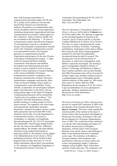time, both European associations of communication and media studies, ECCR and ECA, jointly invite scholars to convene and present their research to an international audience. Researchers on communication from various disciplines and from various approaches (including interpersonal, organizational and mass communication) are invited to submit papers for this conference. Topics of interest include, but are not limited to the following: 1. 50 years of communication studies: Historical development of communication research as a discipline in Europe; Does European communication research exist at all?; European communication research in an international context; The forgotten questions in communication research; Expectations and prospects for the next 50 years of European Communication research. 2. Stateof-the-art research and theory building: Assessments of the theories and methods developed in the field during the past half century as well as analytical work on lessons learned; Critical summaries of research findings in the various (sub)fields of European communication research; Comparative intra-European communication research; Innovative methodologies, pedagogies and theories; Stateof-the-art research findings; Future studies in communication: issues and methods. Young scholars, in particular, are encouraged to propose papers with reflections on the future. The top young scholar paper on the future of European Communication Research will be awarded the "Gazette price for academic excellence." The conference will offer both plenary sessions, parallel meetings in working groups as well as poster sessions. The organizers also solicit ideas and proposals for round tables and panel discussions. Abstracts for papers, sessions, round tables and posters (not more than 800 words) should be sent by May 1st to the Department of Communication Science, University of Amsterdam, c/o Johannes von Engelhardt, Kloveniersburgwal 48, NL-1012 CX Amsterdam, The Netherlands. The first page should include the title, the name of the author(s), affiliation, mailing address, fax number, and email address. Abstracts can be mailed electronically to: papers@ecc2005.nl. The abstracts will be judged in an independent peer-review process. Those submitting an abstract will be notified of their proposal status no later than June 1st. For all further information, please direct your questions to: Mr. Johannes von Engelhardt, Department of Communication Science, University of

Amsterdam, Kloveniersburgwal 48, NL-1012 CX Amsterdam, The Netherlands. See http://www.ecc2005.nl.

The First Meeting for Postgraduate Students in History of Science will be held in València next 18-20 November 2005. The Meeting is supported by the Sociedad Española de Historia de las Ciencias y de las Técnicas and the La Societat Catalana d'Història de la Ciència i de la Tècnica. Our aim is to create a meeting point for young researchers in History of Science, Technology and Medicine. Participants will be able to diffuse their research work, discuss historiographical perspectives and share the problematics encountered along the path of research. The meeting aims to be an informal forum of discussion, in which active participation in the debates is specially encouraged. The meeting is open to postgraduate students in History of Science, Technology and Medicine in Spain or other countries and those who recently finished their PhD. Presentation time will be of around 20 minutes. Papers may introduce original research or methodological issues. Participants should submit an abstract of their paper (ca. 300 words) and a short CV, before 30th June 2005. Registration for the meeting is of 24. We will try to get accommodation for every participant at good rates. Abstracts should be sent to: iihc@iecat.net. More information, http://www.uv.es/jihc/.

The Research Institute for Public Administration devotes its Annual Fall Conference in 2005 to the development of the European Research Area in Speyer, Germany. This year's topic expands the research profile of the institute to the Issue of Science Policy after having dealt with Multilevel Democratic Governance in Europe in 2003 and the development of a European Administration Area in 2002. The overall aim of this conference is to advance the understanding and analysis of the politics and processes of European integration, with the future of the European Research Area and the chances and challenges it offers to the European Research Community center stage. The conference will address a European audience, both academics and practitioners in the area of science policy and science and technology studies. Conference language will be English. There will be three sessions of half-a-day each. The conference will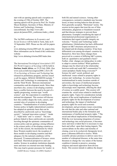start with an opening speech and a reception on the evening of 19th of October 2005. The opening speech will be given by Prof. Dr. Frieder Meyer-Krahmer, Secretary of State, Ministry of Science and Technology, Germany (unconfirmed). See http://www.dhvspeyer.de/jansen/ERA\_conference/index\_e.html.

The 3rd PhD conference in Economics and Social Sciences will be held in Turin, Italy on 8- 10 September 2005. Please see the call for papers at

www.debating.it/torino2005/call\_for\_papers.htm. More information can be found at the conference website

http://www.debating.it/torino2005/index.htm

The International Sociological Association's XVI ISA World Congress of Sociology will be held in Durban, South Africa, on 23-29 July 2006. (See www.ucm.es/info/isa/congress2006/.) ISA's RC 23 on Sociology of Science and Technology has released its preliminary program, and has issued a call for papers. SINGLE SESSIONS include: \* Science and Technology in contemporary Africa and the Third World. Between international communities and development needs. More than anywhere else, science in developing countries faces a conflict between the need to be part of a rapidly progressing, western-type "world science", and the expectation to contribute to national development. This session will discuss how this conflict shapes the work, careers, and societal roles of scientists in developing countries. \* Standardization of science policies? Science policy in highly industrialized countries has adopted an epistemic basis that can be described by catchwords such as "knowledge society", "national innovation systems", "mode 2", "triple helix" and "e- science". The new policies linked to these catchwords are currently traveling through the epistemic communities of science policy and are gaining a strong influence in the science policy of developing countries as well. In this session, the mechanisms by which these Western models travel, the reception of these models in developing countries and their adequacy for the national conditions will be discussed. \*Commercialization of Science: errors and fraud. Theoretical perspectives and case studies. Science in academic institutions depends more and more on external non-state funding. This may lead to greater pressures for 'results', in

EASST Review Volume 24 (2005) Number1 27

both life and natural sciences. Among other consequences, normative standards may become laxed, at times inviting behavior that deviates from generally accepted, "Mertonian" norms. The session invites papers that treat the use of false information, plagiarism or fraudulent research and that discuss strategies to prevent these phenomena. Examples considering the input of (inter)national professional organizations or institutions that regard scientific integrity are welcome. \* Science and Technology under globalization. Globalization has had a differential impact on S&T structures and processes in developed and developing countries. It has been differential even among developed countries by themselves. How have these changes been perceived in a context of differing S&T systems, both on quantitative and qualitative basis? Further, what changes are taking place in order to adapt to current realities? What qualitative changes may be observed in the relationship between north and south S&T communities? Is center-periphery finally being overcome?\* Science for sale?: social, political, and intellectual issues related to property rights in science and technology. As science becomes institutionalized in many locations outside of universities, the issues of intellectual property rights to knowledge and technology become increasingly more important, affecting the ideal of science as a public good. This session will examine the social issues related to intellectual property rights. Topics for consideration include aspects of the social implications of intellectual property rights for the development of science and technology, the impact of intellectual property rights for social and economic development, and governance issues concerning the role that the state and other national and international bodies play in the formation and maintenance of intellectual property rights. \* The social and ethical implications of biotechnology. With the ever increasing integration of science and technology into social processes, it becomes more and more evident that it is necessary to step back and reflect upon their lasting impacts. The current debate on the ethics and morality of cloning, even in its exclusively therapeutic level, poses a dilemma difficult to resolve. While scientific advance promises to deliver cures for a number of widespread diseases, at the same time threatens to change the very nature of the human condition it intends to preserve, arousing religious and moral opposition from diverse fronts. This session intends to address the deeper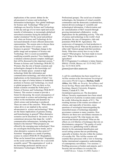implications of the current debate for the advancement of science and technology. \* Information technologies: New global challenges for Science and Technology? What sort of challenges are faced by Science and Technology in this day and age of ever more rapid and secure transfer of information, in increasingly globalized networked economies facing the demands of market orientation? On the social and political end, what can Science and Technology do for increased demands of more efficient democratic representation. The session aims to discuss these issues and the future of E-science and Ebusiness in general. \* Paradigm change in the public image and acceptance of Science and Technology. How is social accountability modifying scientific practice? New funding and evaluation schemes present complex challenges that will be discussed in this important session. \* Women in Science and Technology (With RC32: Women). Has the role of female scientists and technologists changed in this knowledge era? How are female spaces created in high technology fields like information and communication technology, and what are their implications on the feminization of labor? Are there any signs of a better balance in leadership positions in Science and Technology, in a local or global perspective? Why are there so few female scientists awarded the Nobel prize? \* Futures of Science and Technology (With RC07: Futures). This session is meant to provide a forum for discussing the social consequences of current trends in science and technology and to reflect on the mechanisms and dynamics by which science and technology is produced. These are some of the concerns: What ethics and values drive or are implied in the current advancement in science and technology? What are the future implications of genome cloning and biotechnology in general? What alternative scenarios can be discerned in the (more or less contentious) processes that shape the world's communication infrastructure, including but not limited to the Internet? What prospects are offered by the emerging nano technologies? How are sociologists theorizing these trends, and to what alternative scenarios do they point to? \* Scientists' biographies as a mode of probing science in context (With RC38: Biographies). What can be learned from scientists' biographies on the social context that allows for a successful scientific career? \*Re-organization of work in the knowledge profession and the use of Information Technologies (With RC52:

Professional groups). The social use of modern technologies, the formation of virtual scientific communities and the democratic (credential-less, interest-driven) exchange of scientific and technological information. Collectivization and de- nationalization of S&T research through growing international collaborative works. Implications for the publishing activity. \*The role of science and technology in the world's food production: the case of transgenics, risks and potentials (With RC40: Agriculture). The controversy of transgenics in food production is far from being solved. What are the positions on either side? Interest groups hold their positions firmly. What does society have to say to that respect? What progress has been made in recent years? What is the future of transgenics in agriculture?

RC23 Programme Co-ordinator is Jaime Jimenez, IIMAS, UNAM, Mexico; tel: 52-55-5622 3597; fax: 52-55-5616 2670;

 $ijimen@servidor.unam,mx$ 

A call for contributions has been issued for an Ad Hoc session at the International Sociological Association World Congress, Durban, South Africa, July 2006, on: Security, Surveillance and Social Sorting. Please send offers to David Lyon, Sociology, Queen's University, Kingston, Ontario, Canada K7L 3N6  $(lyond@post.queensu.ca)$ . The description follows: Security requirements have been raised to a high level of priority in nation-states around the world, following the attacks of 9/11. The resulting increase in the routine surveillance of citizens, and especially of travelers, raises questions of sociological interestregarding the intensified means of technology-dependent governance common to many countries. How effective are these new surveillance measures in procuring security? By what means are risks assessed and threats prioritized? What are the effects on civil liberties of techniques that rely on discriminatory categories? The quality of social existence in a globalizing world is affected directly by the automated identification and social sorting systems that are proliferating, especially at borders, but also within the routines of everyday life. This Ad Hoc session will examine these processes with a view to fostering further international comparative understanding of contemporary surveillance. Two sessions: 1. Profiling processes at borders and airports; and 2. Security and surveillance in everyday life.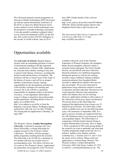The UK-based national research programme on Innovative Health Technologies (IHT) has joined up with the annual international conference of the HTAi, to open new debate between social science analysis of new health technologies and the perspective of health technology assessment. A two-day parallel workshop is planned which covers current developments in IHTs on the first day, then a joint session with HTA delegates on the second. It is held in Rome, Italy on 20-21

June 2005. Further details of the event are available at

http://www.york.ac.uk/res/iht/events/HTAiRome 2005.htm. Parties should register interest with Stephanie Hazel-Gant at sjg11@york.ac.uk.

The International Open Source Conference 2005 is in Genova, Italy from 11-15 July, http://oss2005.case.unibz.it.

## Opportunities available

The University of Oxford's Modern History Faculty seeks an outstanding historian of science of international standing to fill this important chair, tenable from 1 October 2006. Applications are welcome from scholars working in any area or period of the History of Science, excluding the ancient world and the history of medicine. The professor will have a broad vision of the scope of the history of science, and will be an integral member of the History Faculty, sharing responsibility for the development and delivery of the Faculty's strategies for teaching and research. He or she will have a particular responsibility for graduate studies in the history of science. A non-stipendiary fellowship at Linacre College is attached to the professorship. Further particulars, including details of how to apply, are available from: http://www.admin.ox.ac.uk/fp/ or from the Registrar, University Offices, Wellington Square, Oxford OX1 2JD, UK (Tel: 44 1865 270200). The closing date for applications is Monday, 20 June 2005.

The Women's Library, London Metropolitan University, is pleased to announce the Vera Douie Fellowship, a visiting fellowship for original research in The Women's Library Collections. The fellow will also arrange a public programme resulting from the research. The fellowship is for £4,500 for a minimum of two months and does not include travel or accommodation costs. The fellow will have use of a carrel at The Women's Library. Applications are particularly encouraged for work: On newly

EASST Review Volume 24 (2005) Number1 29

available collections such as the National Federation of Women's Institutes, the Josephine Butler Society pamphlet collection which is currently being catalogued, The Girls' Friendly Society, our periodicals and zines collection. Research related to our exhibition programme. During this period we will also be working towards a major exhibition looking at debates around prostitution from Josephine Butler onwards so applications related to this area are also encouraged. We are also interested in applications using collections related to women in education and girls education. Research on our visual materials collection and explorations which will enhance their use for teaching. However, applications relating to other aspects of the collections will be given equal consideration. The private donor of the fellowships has requested that applications from women over 35 should be given priority. The fellowship, which will be available each year for the following three years, will commence in September 2005. It is open to anyone currently not employed full time by a HE Institution and it is not necessary to have a post graduate degree. The fellowship is in conjunction with the Gender Interest Group at London Metropolitan University. How to Apply: 1. Write a proposal of 500 words giving details of the research you want to undertake and what kind of public programme might result and who it is aimed at (public event, display, seminar, workshop etc); 2. Enclose your CV; and 3. Give the names of two referees. Please send your applications to Antonia Byatt, Director, The Women's Library, London Metropolitan University, Old Castle Street, London, E1 7NT, or email to: c.norman@londonmet.ac.uk. The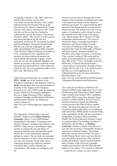closing date is Friday 27 May 2005. Interviews will be held on Friday 24 June 2005. Vera Douie became the librarian of the London National Society for Women's Service at the Women's Service Library at Marsham St, London between 1926 and her retirement in 1967. In this role she was the moving force behind the collection that was the forerunner to the present Women's Library. She was active in the women's movement throughout her life and was particularly involved in the Association for Moral and Social Hygiene. During the Second World War she was a fervent campaigner for equal rights and published 'The Lesser Half' on behalf of the Women's Publicity Planning Association in 1943, examining the 'laws, regulations and practices introduced during the present war, which embody discrimination against women'. After the war, she also published 'Daughters of Britain: an account of the work of British women during the Second World War' (1950). When she retired in 1967, she was awarded the OBE for her life's work. She died in 1979.

Fellowships and traineeships are available at the IPTS - Seville, one of the institutes of the European Commission's Joint Research Centre in Spain. Among them, three post-doc positions are available in the "Support to the European Research Area" unit of IPTS, under the following actions: ERAWATCH (Strategic Intelligence Service to Support Research Policy Making); European Foresight; and IRI (Industrial Research and Innovation Analysis). For details and contacts, please see:

http://www.jrc.es/home/pages/job\_opportunities. htm.

30 EASST Review Volume 24 (2005) Number 1 The Department of Philosophy, Logic and Scientific Method at the London School of Economics offers a 3-year AHRB-funded Studentship for the project "Contingency and Dissent in Science" starting in the academic year 2005/06. Today society is scrambling to figure out how to manage the uses and abuses of science to minimize harm and maximize public benefit. But we face dramatically opposed attitudes to science. On one hand, it is presumed that the correctness of what science teaches does not come into question. On the other, there is widespread dissent even within the scientific community about results, methods and consequences. This project on contingency and

dissent in science aims to develop tools for the scrutiny of the correctness of methods and results in the natural and human sciences based on detailed case studies. It is expected that the PhD research of the student and the research for the project dovetail. The student will work on some aspects of contingency and/or dissent in one of the scientific areas under study in the project (e.g. climate change, RCTs, dissent over high temperature superconductors). The project is directed by Nancy Cartwright and Stephan Hartmann, with Naomi Oreskes from the University of California at San Diego, and is housed by the Centre for Philosophy of Natural and Social Science. Interested students are invited to send a letter of interest, a Curriculum Vitae, a project outline of 500 words and two letters of recommendation by around the 1st of May 2005 to Prof. Nancy Cartwright, Centre for Philosophy of Natural and Social Science, London School of Economics, Houghton Street, London WC2A 2AE, U.K. or by email (word or pdf file) to n.l.Cartwright@lse.ac.uk or S.Hartmann@lse.ac.uk. For more information about the project, visit http://www.lse.ac.uk/collections/CPNSS/projects/ ContingencyDissentInScience/Default.htm.

The Centre for the History of Medicine and Disease (CHMD) seeks applications for a 5-year Wolfson Research Fellowship in Public Health Ethics (tenable from October 2005. Candidates must hold a PhD or equivalent doctorate degree in Ethics or Public Health or Social Science or Medicine and have a significant publication record relevant to the field of ethics in public health. The successful applicant will carry out research in public health ethics, in co-ordination with staff of the CHMD and the Centre for Public Policy and Health. He/she will also contribute to postgraduate teaching in Ethics and Public Health. The Wolfson Research Institute is based in a purpose-built £12m building, including 23 laboratories and 60 offices, on Durham University's Queen's Campus, at Stockton-on– Tees but also involving a considerable amount of research at its Durham campus. The Institute forms the research division of the University's Health Strategy Board and as such provides the inter-disciplinary framework within which all health and medically-related research from the three Faculties of the University is brought together and interfaces with the NHS and other partners in the region. This research is organised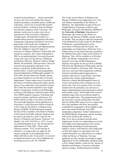around four broad themes - clinical and health services; the Life Cycle and the life sciences; medical humanities; and public policy, health and well-being - and involves around 200 research staff and students, working at both the Durham and Stockton campuses of the University. The Institute's prime aim is to play a key role in meeting two of the University of Durham's strategic goals: international excellence in agenda-setting research; engagement with policy communities and groups beyond the University, particularly in the north east of England, in influencing policy formation and implementation. Thus the emphasis is upon the impact of research, on making a difference, both within and outside the academy. The Centre Established in 2001 as an interdisciplinary University Research Centre, the Centre for the History of Medicine and Disease (Director: Professor Andreas-Holger Maehle, Dr.med.habil., PhD) provides a focus for research and postgraduate education in the history of medicine, health and disease, and medical ethics. It unites staff and postgraduates from the Department of Philosophy (graded 5 in RAE 2001) and the School for Health, and has associated members in several other University departments. Current major areas of research are the history of medical professional ethics and the history of sex education in the twentieth century. The Centre has recently launched a new taught Master's programme in History and Philosophy of Science and Medicine (starting October 2005). The CHMD regularly organises workshops and research seminars, and hosts conferences. For further details see http://www.dur.ac.uk/chmd. The successful applicant will be appointed as a fixed-term (5 years) Research Fellow (Grade II) in the Centre for the History of Medicine and Disease (CHMD), Wolfson Research Institute. He/she will be a member of the Board of Studies of the School for Health. Informal enquiries may be made to the Director of the Centre for the History of Medicine and Disease, Professor A H Maehle. Tel. 0191-334-0701 or –6557. E-mail: a.h.maehle@durham.ac.uk. The closing date for applications is 9 May 2005. Please quote reference number: 0752. In the interests of efficiency, we request that you apply for this vacancy using the on-line application form (https://jobs.dur.ac.uk). If you prefer, we can post an application pack to you, if you telephone our answering service on 44 191 3346499.

EASST Review Volume 24 (2005) Number1 31 the University of Durham's Department of Philosophy, the Centre for the History of Medicine and Disease (CHMD), and the School for Health. They are placed within the framework of the Durham/Newcastle Centre for the History of Medicine, a partnership between the universities of Durham and Newcastle. The studentships are funded from a Wellcome Trust Enhancement Award which had been awarded to the Durham/Newcastle Centre for the History of Medicine. They will be available as of October 2005. The Masters studentships cover fees at home/EU level plus £9,000 maintenance. Students will register for the new MA in HPSM offered by the Department of Philosophy and the School for Health as of October 2005. This oneyear (two years part-time) programme combines historical and philosophical approaches to medicine and science. In particular, it provides students with a deeper understanding of historical, cultural and philosophical issues in science and medicine from Antiquity up to the present day. One of its primary aims is to show students how the humanities are relevant to a deeper understanding of past and present medical and scientific issues. The breadth of the course's methods ranges from socio-cultural models to analytical approaches. The programme provides the necessary research training that will either link into further PhD study or act as a stand alone MA; and candidates who have successfully completed the programme will be eligible to take part in the annual Wellcome Trust PhD studentship competition. Further information on the HPSM Masters Programme and the teaching staff can be found on the website at http://www.dur.ac.uk/hpsm.ma/index.html. Applications for the two studentships are invited from highly motivated graduates from various backgrounds including arts and humanities subjects, science, and medicine with a high mark on their first degree (or equivalent) who will commit themselves to a dissertation on a subject within the History of Medicine. Overseas applicants are also strongly encouraged to apply. Applications for the studentships should be made to Prof. Holger Maehle, Centre for the History of Medicine and Disease, University of Durham, Queen's Campus, Wolfson Research Institute,

The Centre for the History of Medicine and Disease (CHMD) invites applications for 2 oneyear Masters studentships in the History of Medicine. The studentships are part of the new Taught Masters Programme in History and Philosophy of Science and Medicine (HPSM) of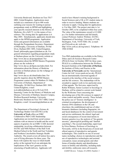University Boulevard, Stockton-on-Tees TS17 6BH, United Kingdom. Applications must include (a) a statement of up to 400 words outlining your reasons for wanting to pursue postgraduate study in HPSM and highlighting your specific research interests in the History of Medicine, (b) a full CV, (c) the names of two referees. The closing date for applications is 6 May 2005. Simultanously, applicants should also apply to the HPSM programme. Application forms and general information are available through the Postgraduate Secretary, Department of Philosophy, University of Durham, 50 Old Elvet, Durham DH1 3HN, United Kingdom, Email: philosophy.pgsec@durham.ac.uk. For general information regarding postgraduate study at Durham please see the University website at http://www.dur.ac.uk/postgraduate/ For information about the HPSM Masters Programme please see the website at http://www.dur.ac.uk/hpsm.ma/index.html. For information about the History of Medicine activities at Durham please see the webpage of the CHMD at http://www.dur.ac.uk/chmd/index.htm. For specific inquiries about the HPSM Masters Programme contact either Dr Matthew D. Eddy, University of Durham, Department of Philosophy, 50 Old Elvet, Durham DH1 3HN, United Kingdom, e-mail: m.d.eddy@durham.ac.uk or Dr Lutz D.H. Sauerteig, Centre for the History of Medicine and Disease, University of Durham, Queen's Campus, Wolfson Research Institute, University Boulevard, Stockton-on-Tees TS17 6BH, United Kingdom, e-mail: l.d.sauerteig@durham.ac.uk.

The Department of Sociology's Science & Technology Studies Unit (SATSU) at the University of York offers an ESRC Collaborative PhD CASE Studentship. Applications are invited from social science students with an interest in health and the social aspects of genetics for an ESRC CASE doctoral studentship, involving collaboration between SATSU and NHS Partners of the Hull York Medical School in the North and East Yorkshire and Northern Lincolnshire Strategic Health Authority. The award covers all tuition fees and a cost of living allowance for three years. The thesis will explore the ways in which health policy at the regional level can anticipate the implications of the 'new' genetics on the structuring of health delivery. Applicants will

need to have Master's training background in Social Sciences and a UK or EU student status in order to receive funding. Mature students are welcome to apply. Closing date for applications is 31st May 2005. The project start date is 1st October 2005, to be completed within four years. The value of the maintenance award is £12,000 p.a. For further information and full details, contact Professor Andrew Webster, SATSU, Department of Sociology, University of York, Heslington, York, YO10 5DD, UK. (e-mail: ajw25@york.ac.uk; web-site: http://www.york.ac.uk/org/satsu/). Telephone: 44 1904 433064

Two PhD studentships are available in the Policy, Ethics and Life Sciences Research Centre (PEALS) from 1st October 2005 for three years. PEALS is a collaboration between the Wolfson Research Institute at the University of Durham, the Institute of Policy and Practice at the University of Newcastle and the 'International Centre for Life' (www.peals.ncl.ac.uk). PEALS has an internationally renowned agenda of research at the interface of the social sciences and the life sciences. The studentships will be awarded to support work in two particular areas of that agenda. The first area, supervised by Robin Williams, Senior Lecturer in Sociology in Durham, will be related to current work funded by the Wellcome Trust concerning the developing uses of the life sciences in support of crime control and public security. These include: the police use of 'forensic intelligence' in criminal investigations; the development of forensic DNA databases in the UK and elsewhere; the establishment and use of other biometric databases (including fingerprint, iris and facial databases) for the control of movement and service entitlement; the ethical, legal and social consequences of recent innovations in forensic genetics (e.g. the analysis of 'bio-genetic ancestry', phenotypical profiling and 'familial searching'). The second studentship, supervised by Erica Haimes, Professor of Sociology in Newcastle, will be in the broad area of social and ethical aspects of reproductive and genetic technologies. This could be on one of several topics including: choices in reproduction and the use of reproductive technologies and assisted conception; issues around genetic and other forms of kinship identity and identification; issues in fertility and infertility, including male sub-fertility; embryonic stem cell research;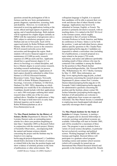questions around the prolongation of life in foetuses and the new born; preimplantation genetic diagnosis; reproduction, screening, birth and disability. However, we would also be interested in receiving applications looking at the social, ethical and legal aspects of genetics and ageing, and of nanobiotechnology. Both students will be registered for a higher degree (initially an MPhil with the expectation of progression onto a PhD, subject to satisfactory progress), one in Durham and one in Newcastle. Each will be supervised jointly by Robin Williams and Erica Haimes. Both will have access to the extensive PEALS research networks across both universities and throughout the region. Both students will receive financial support to cover maintenance (£12,000 pa each), research expenses (£1,000 pa each) and fees. Applicants should have a good honours degree (2.1 or above) in Sociology or a related discipline, and have a Masters degree in social science research, including research methodology (or possess relevant research experience). Applications (4 hard copies) should be submitted to either Erica Haimes (c/o PEALS Research Institute, Bioscience Centre, Times Square, Newcastle NE1 4EP) or Robin Williams (Department of Sociology, University of Durham, 32 Old Elvet, Durham City DH1 3HN), depending on which studentship you would like to be considered for. Candidates should include with their applications a cv and a 500 word paper outlining their initial research ideas within one of the two areas outlined above. Deadline for applications is May 20th. We hope to hold interviews in early June. Informal inquiries can be made to Robin.Williams@durham.ac.uk or Erica.Haimes@ncl.ac.uk

The Max Planck Institute for the History of Science, Berlin (Department II; Director: Prof. Lorraine Daston) seeks an outstanding junior scholar for a three-year position (beginning no later than 1 September 2005) as Research Fellow in conjunction with the research project, History of Scientific Observation\_, encompassing both the natural and human sciences (details concerning the project and the Institute may be found at www.mpiwg-

berlin.mpg.de/projects/department2.). Candidates should hold a doctorate in the history of science or related field at the time the position begins and show evidence of scholarly promise in the form of publications or other achievements. The

EASST Review Volume 24 (2005) Number1 33

colloquium language is English; it is expected that candidates will be able to present their own work and discuss that of others fluently in that language. Applications may however be submitted in German, English, or French. The position is primarily devoted to research, with no teaching duties. It is ranked at the BAT IIA level in the German system, which roughly corresponds to that of Lecturer in Britain, Assistant Professor in North America, and Maître de conférences in France. Salary is set by both the position\_'s rank and individual factors; please address specific questions to Ms. Claudia Paass (paass@mpiwg-berlin.mpg.de). Candidates are requested to submit a curriculum vitae (including list of publications), a research proposal on a topic related to the project (750 words maximum), and names and addresses (preferably including email) of three referees who may be contacted if the candidate is among the finalists for the position to Max-Planck-Institut fueWissenschaftsgeschichte, Abt. Personal/WiMi Obs, Wilhelmstrasse 44, 10117 Berlin, Germany by May 13, 2005. More information, see http://www.mpiwg-berlin.mpg.de/jobs\_en.html. For questions concerning the research project and Department II, please contact Prof. Lorraine Daston (ldaston@mpiwg-berlin.mpg.de) or Dr. Fernando Vidal (vidal@mpiwg-berlin.mpg.de); for administrative questions concerning the position and the Institute, please contact Mr. Jochen Schneider (jsr@mpiwg-berlin.mpg.de). Scholars of all nationalities are welcome to apply; applications from women are especially welcomed. The Max Planck Society is committed to employing more handicapped individuals and especially encourages them to apply.

The Max Planck Institute for the Study of Societies in Cologne, Germany, is starting a PH.D. program and six doctoral fellowships in economic sociology and political economy are available. Fellowships will start in October 2005, and will be awarded for a maximum of three years. The program is open to students from a variety of social science disciplines, in particular but not exclusively sociology and political science. Working languages at the MPIfG are German and English. Doctoral fellows will participate in a graduate school program including courses and summer school sessions (which will eventually be turned into an International Max Planck Research School) and generally in the Institute's intellectual life. Details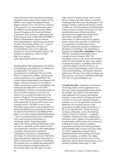of the curriculum will be specified according to dissertation topics and previous training. As the MPIfG is not a degree-awarding institution, degrees will have to be received from a Fellow's home institution. For more information refer to the MPIfG's research program and the MPIfG Doctoral Program on the Social and Political Constitution of the Economy. Applications and further inquiries may be directed to the MPIfG's Head of Administration, Jürgen Lautwein (lautwein@mpifg.de). Applications may be sent by email. They should include a C.V., a list of publications if applicable, two letters of recommendation, and a six-to-eight page proposal for a doctoral dissertation project. The deadline for submission is May 20, 2005. http://www.mpi-fg-

koeln.mpg.de/ak/ausschreib\_en.html.

Interdisciplinary PhD Studentship in the History of Ornithology are available for an evaluation of an unpublished 17th century French encyclopaedia of ornithology. The aim of this PhD is to evaluate the scientific, historical and cultural significance of an unpublished 17thcentury French ornithological encyclopaedia (992 pages): Traité des Oyseaux by J.-B. Faultrier (1660) recently discovered by Tim Birkhead. The manuscript was dedicated to Louis XIV's superintendent of finances and eminent patron of the arts, Nicolas Fouquet, in 1660, the year before he was arrested and imprisoned in the fortress of Pignerol. The encyclopaedia was, then, written during a period of political tension, when sponsorship of the arts and sciences was a contested activity. The PhD is a novel, interdisciplinary project between the Departments of Animal and Plant Sciences and French, and will be supervised by Professor Tim Birkhead FRS (http://www.shef.ac.uk/aps/stafftimbirkhead.html ), who is an internationally known ornithologist with a special interest in the history of ornithology and Dr. Emily Butterworth (http://www.shef.ac.uk/french/staff/butterworth.h tm) who is a specialist in early modern French. This manuscript is unknown to the ornithological community and represents a significant contribution to the history of ornithological knowledge. It is extremely unusual to find such a large and potentially significant manuscript in a field as well known as the history of ornithology. The ultimate goal is to publish the manuscript in full in both French and English. Birds have proved ideal subjects for the study of several

major aspects of animal biology and as a result there is a longer and richer history of scientific ornithology than almost any other discipline. The keeping of birds in captivity has played a central, if subtle role in the development of ornithological science because aviculture allowed the close and detailed observation of birds long before binoculars were available and detailed field observation a possibility. Indeed, the observations of captive birds such as pigeons, poultry, falcons and cage-birds constituted the very beginning of ornithological science. Faultrier's manuscript represents a landmark in the history of ornithology. The studentship is funded by the University of Sheffield (12,000 in 2005-06, increasing incrementally), and is available to start in October 2005. The studentship is open to UK citizens and members of the EU, and is tenable for three years, subject to satisfactory progress. Candidates should have a good first degree in French or fluency, an interest in the French language, history, history of science and ornithology. All enquiries should be addressed to Mrs Sue Carter, Dept of Animal and Plant Sciences, University of Sheffield, Sheffield S10 2TN. S.Carter@sheffield.ac.uk

Cornell University's Department of Science & Technology Studies invites applications for a one-year visiting assistant professorship during the academic year 2005-06. The Department seeks applicants with research and teaching expertise in areas related to biology and society to teach two courses per semester during the academic year. We are particularly interested in applicants who can teach courses on the environment or public health and medicine. A Ph.D. in a relevant field -- history of science, sociology, philosophy, science & technology studies, or history of medicine -- is required. Candidates should send a letter of application, curriculum vitae, evidence of teaching ability, a writing sample, and the names of two references to Biology & Society Search Committee, Department of Science & Technology Studies, 306 Rockefeller Hall, Cornell University, Ithaca, NY 14853. Application materials may be submitted electronically to Biology & Society Search Committee, c/o Debbie Van Galder, dmv1@cornell.edu. To ensure review of your application, please submit all materials as soon as possible; preferably before May 15, 2005.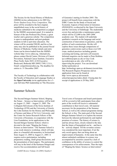The Society for the Social History of Medicine (SSHM) invites submissions to its 2005 Roy Porter Student Essay Prize Competition. This prize will be awarded to the best original, unpublished essay in the social history of medicine submitted to the competition as judged by the SSHM's assessment panel. It is named in honour of the late Professor Roy Porter, a great teacher and a generous scholar. The competition is open to undergraduate and post-graduate students in full or part-time education. The winner will be awarded 500.00, and his or her entry may also be published in the journal Social History of Medicine. Further details and entry forms can be down-loaded from the SSHM's website http://www.sshm.org. Alternatively, please contact David Cantor, Division of Cancer Prevention, National Cancer Institute, Executive Plaza North, Suite 2025, 6130 Executive Boulevard, Bethesda MD 20892-7309, U.S.A., Email: competition@sshm.org. The deadline for entries is: 31 December 2005.

The Faculty of Technology in collaboration with the Faculty of Education and Language Studies at the Open University invite applications for a 3 year full time PhD studentship on 'The Discourse

### Summer Schools

The Second Ittingen Summer School, Shaping the Future – Science as Intervention, will be held on August 13, 2005 – August 21, 2005. The Collegium Helveticum of the Swiss Institute of Technology (ETH) and the University of Zurich, the Cohn Institute for the History and Philosophy of Science and Ideas of Tel Aviv University, and the Center for Junior Research Fellows of the University of Konstanz, in cooperation with the Lion Foundation, invite applications to the Second Ittingen Summer School, which is devoted to the topic "Shaping the Future – Science as Intervention." The Summer School is a one-week intensive workshop, which will take place in a beautiful old monastery in Switzerland from August 13, 2005 to August 21, 2005. It requires active participation, including preparatory reading, small group discussions, and the presentation of short papers. The participants will stay in the hotel of the Kartause Ittingen and receive free accommodation and full board.

EASST Review Volume 24 (2005) Numberl 35

of Genomics' starting in October 2005. The project will benefit from connections with the ESRC Centre for the Study of Social and Economic Aspects of Innovation in Genomics (INNOGEN), co-directed by the Open University and the University of Edinburgh. The studentship covers fees and provides a maintenance grant, which will be £12,000 in the 2005-2006 academic year. The student will undertake qualitative research on the language and social construction of innovations in genomics, and the politics of such constructions. He/she will explore these issues through comparisons of genomics controversies such as those over GM crops, medical practices including genetic screening and testing, and stem cell research. Informal enquiries can be made to Peter Robbins (p.t.robbins@open.ac.uk) or Guy Cook  $(g.cook@open.ac.uk)$ , who will be cosupervising the project. You can download further particulars at http://technology.open.ac.uk/deanery/recruit.htm. The Research Degrees Prospectus and an application form can be found at http://www.open.ac.uk/researchschool/prospectus/index.shtml. Closing date for receipt of applications is 20 May 2005.

Travel costs of European and Israeli participants will be covered in full; participants from other parts of the world will receive a substantial contribution to their travel costs. All material necessary for the preparation of the Summer School, as well as the cultural programme during the School, is free. The main goal of the Second Ittingen Summer School is to explore the tension between the inherent performativity and implied promises of science. The history of science is, and has always been, closely related to the idea that the future of humankind can be – and has to be – actively shaped. Till the seventies science was considered the most important, if not the only social agency that can bring about an improvement of humanity. At the same time this almost unlimited confidence in science was accompanied by anxieties caused by a lack of confidence in the ability of science to control the consequences of its achievements. Thus the topic of "Shaping the future: Science as Intervention"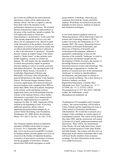has at least two different but interconnected dimensions, which will be addressed in the summer school: The first is cognitive, and has been dealt with in the literature as the performative dimension of science. All scientific theories and practices imply a representation of the piece of the world they intend to explain. We will explore the extent to which this representation is "performative" in the sense that it has already shaped the world in a way that allows for an explanation to be offered in terms of the formulation of the problem. Secondly, an conception of science as intervention means that an ethical and political dimension is inherent to it: this is the dimension of "promises". Scientific theories contain an implicit image of the future, usually a "better future" as they promise more health, happiness, security or comfort for humans. We will inquire into the manifold ways in which these promises impact on political decision making as well as on social, economic and ethical discourses. The opening lecture will be held by Martin Kusch, University of Cambridge, Department of History and Philosophy of Science, who will provide a general introduction to the theme of the Summer School. The Second Ittingen Summer School welcomes applications from doctoral and postdoctoral students (who completed their PhD no earlier than 2000), from all academic disciplines in the natural, social and human sciences. Application forms can be downloaded from the website of the Summer School, where further information is provided: www.summerschoolittingen.ch. Applications have to reach the organizers by May 10, 2005. Applicants will be notified in the beginning of June. If you have additional questions, please write to: application@summerschool-ittingen.ch, or contact Daniel Strassberg, Lion Foundation, Weinbergstr.145, 8006 Zürich, Switzerland. Phone +411-364 51 30; Fax +411-361 19 05.

The European Summer School on Industrial Dynamics (ESSID) will be held in Cargese (Corsica), 10-17 September 2005. (See http://www.uni-bocconi.it/essid2005.) Lectures by leading scholars provide update overviews on research at the frontier of industrial dynamics, economics of innovations, economics of science and the geography of innovation. Students present their PhD drafts and papers at smallgroup students' workshops, where they get comments from both the faculty and fellow students. Workshops on research tools provide highlight on data sources, methods of analysis, and simulation techniques.

A one-week intensive graduate school on 'Measuring Science' will be held at the Centre for Science and Technology Studies (CWTS), Leiden University, the Netherlands on 17-20 October 2005. The course, Measuring Science: Assessment of Research Performance and Discovery of Patterns of Scientific and Technological Development, addresses a quantitative methodology to discover the structure of the scientific 'landscape' in order to gain concrete and detailed insight into the development of fields of science, the transfer of knowledge between research fields, the interaction between science and technology. This methodology is appropriate to visualize the position of research activities in the international 'landscape' in relation to interdisciplinary developments, and particularly in relation to socio-economic problems. The course director is Professor Anthony van Raan. Registration/information: Christine Ibler-Alkemade (secr. Prof. Van Raan), tel. +31 71 5273909, fax +31 71 527391, CWTS, Wassenaarseweg 52, P.O. Box 9555, 2300 RB Leiden, the Netherlands, e-mail: alkemade@cwts.leidenuniv.nl.

"Explanations of Consumption and Consumer Culture," the course/workshop, will be held in Turku, Finland, and the organizing university is Turku School of Economics and Business Administration. We would like to present you a compact 4-day workshop on various aspects of consumption research. The course will be held in May-June 2005, and the coursework will consist of lectures (8 in total), student presentations and discussions. There will be two international (Alan Warde, UK and Tally Katz-Gerro, Israel) plus two Finnish lecturers (Terhi-Anna Wilska and Juha Panula). The lectures will also serve as discussants in the student workshops side to side with local faculty members from economic sociology. For more information on the course: www.tukkk.fi/excococu.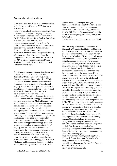### News about education

Details of a new MA in Science Communication at the University of Leeds in 2005-6 are now available at:

http://www.hps.leeds.ac.uk/PostgraduateInfo/scie ncecommunication.htm. The programme has recently been accredited by the Association of British Science Writers for its Student Journalism bursaries (deadline 28th Feb)- see http://www.absw.org.uk/bursaries.htm. For information about admissions and also bursaries supplied by the School of Philosophy and University of Leeds please visit http://www.hps.leeds.ac.uk/PostgraduateInfo/pg\_ admission.htm. For information about the programme itself please contact the Director of the MA in Science Communication: Dr. Jon Topham, Lecturer in History of Science email j.r.topham@leeds.ac.uk.

New Medical Technologies and Society is a new postgraduate course at the Science and Technology Studies Unit (SATSU) in the Department of Sociology, University of York, UK, whose members undertake international research in this growing field of sociological enquiry. It will provide a rigorous foundation in social science research exploring social, cultural and organizational implications of new developments in medical and health technologies. This MSc is designed for students with an interest in the sociology of innovation in medicine and healthcare. Medical technologies are increasingly at the centre of new changes in both the social and physical body. The course covers a wide range of sociological and anthropological literature on medical innovation with a special focus on the body, reproduction, health, aging and dying. Crucially, it explores the implications of social science research for healthcare organisation, policy and regulation. The course will appeal to sociology graduates wishing to specialise in an expanding field of enquiry, and also healthcare practitioners interested in the social science of medicine. Its primary aims are to explore key social and cultural dimensions of medical technology informed by perspectives in the Sociology of Health and Illness, Anthropology, the History of Medicine, and Science and Technology Studies and to provide a rigorous foundation in social

science research drawing on a range of approaches which are broadly transferable. For more information contact the departmental office, Mrs Lynn Kilgallon (lk6@york.ac.uk)  $+44(0)1904$  433044. The course coordinator is Dr Nik Brown (ngfb $1$ @york.ac.uk) +44(0)1904 434741. See

http://www.york.ac.uk/depts/soci/c\_mamt.html.

The University of Durham's Department of Philosophy, Centre for the History of Medicine and Disease (CHMD), and School for Health are pleased to announce their new Taught Masters Programme (MA) in the History and Philosophy of Science and Medicine (HPSM) teach an M.A. in the history and philosophy of science and medicine. This one-year (two years part-time) programme will provide students with a deeper understanding of historical, cultural and philosophical issues in science and medicine from Antiquity up to the present day. Using socio-cultural models to analytical approaches its primary aim is to show how the intellectual vibrancy of the humanities is relevant to a deeper understanding of past and present medical and scientific issues. The wide spectrum of academic staff from the Department of Philosophy and the School for Health allows students to focus their papers on a wide variety of topics, some of which include bioethics and the history and medicine, the history and philosophy of science, and environmental philosophy. Upon completion, the HPSM MA will give students the skills necessary for inter- and trans-disciplinary work that can be applied to future doctoral studies as well as to a broad range of other applications within the media, the public sector, NGOs, etc. The Wellcome Trust, London has been recognised this programme for its masters awards funding scheme. Graduate students from various backgrounds including arts and humanities subjects, science, and medicine with a high mark on their first degree (or equivalent) are encouraged to apply for the HPSM Programme. For the University s application procedure visit the University web page at: http://www.dur.ac.uk/postgraduate/apply/. Space is limited. Course Directors: Dr Matthew D Eddy, Department of Philosophy, m.d.eddy@durham.ac.uk; Dr Lutz D H Sauerteig, School for Health, CHMD, l.d.sauerteig@durham.ac.uk.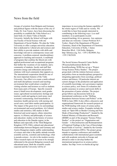### News from the field

Groups of scientists from Bulgaria and Germany and political figures with the mayor of the city of Vidin, Dr. Ivan Tsenov, have been discussing the possibility to establish the Vidin School as a main body of a future Vidin at Danube University. Initially the School will begin with one Faculty of Social Science with one Department of Social Studies. We plan the Vidin University to offer a unique university education that is dedicated to: Liberal arts and sciences and their ability to provide students with skills and knowledge relevant to contemporary issues and concerns; A problem-centered, interdisciplinary approach to teaching and research; A multitude of programs that combine the liberal arts with applied professional and occupational programs that further the vocations of our students; and a community of students, faculty and staff that promotes energy and enthusiasm and positive relations with local community that supports us. The international cooperation should be one of the most important features of the Vidin University. Our effort is to create a multi-cultural and multi-disciplinary research and teaching environment that would attract a number of visiting scholars and lecturers as well as students from many parts of Europe. Specific research areas:i) Small town development; rural gender issues; agricultural reconstruction; heritage and tourism; youth and ageing in rural areas; rural economic restructuring; rural households in transition; health and poverty with nursing and social cares; rural labor market participation. ii) The impact of the great river to its surroundings: environmental and social problems. iii) Cultural studies and semiotics; folk studies in their historical and social aspects; ethnic minorities aspects; iv) History and philosophy of science and education: studies on the history of science and education in the Danube region, in the Balkans and especially of the Third Bulgarian Kingdom (1878-1946); cultural and educational relationships between Bulgaria and Germany and Austro-Hungarian empire; public understanding of science and what is the public attitude towards scientific activity, scientists and technology; what is pseudo-science - its role in the modern society. These research topics do not seem to be strongly elaborated in the present Bulgarian research and educational areas. Both the scientific results expected and the University will be of

importance in recovering the human capability of the whole region of Vidin and its vicinity. We would like to hear from people interested in contributing in the following ways: i) as staff members; ii) as participants in joint research/teaching; iii) as sponsors. Any opinions and ideas are welcome. Contact Professor B.V. Toshev, Head of the Department of Physical Chemistry, Head of the Department of Chemistry Education, University of Sofia, 1 James Bourchier Blvd., 1164 Sofia, Bulgaria, http://khimiya.org, Tel.: +359 2 8629049, Fax: +359 2 9625438.

The Social Science Research Center Berlin (Wissenschaftszentrum Berlin für Sozialforschung, WZB) has set up a "Project Group Science Policy Studies". The project group deals with the relation between science and politics from an interdisciplinary perspective integrating approaches from sociology, political science and history. Of particular interest are current changes in the production and application of scientific knowledge, new governance regimes in science policy, new forms of evaluation and quality assurance in science and recent shifts in the promotion of junior scholars. The project group follows up discussions held at an international conference on the "Shifting Boundaries between Science and Politics" at the WZB in June 2004. It also offers a discursive and organisational framework for research projects at the WZB dealing with issues of science policy studies and science studies. Examples include the study on "Spin-Offs as Border Crossing and New Mode of Knowledge Production?", funded by the Federal Ministry of Education and Research (BMBF) as part of the program "Science Policy Studies", or the project on "Organisation and Gender – A Reconstruction and Reinterpretation of Empirical Findings in the Case of Knowledgebased Fields of Activity", funded by the German Research Foundation (DFG). The project group intends to organise conferences and establish collaborations with international guest scientists and with academic networks in Europe and abroad in order to develop further the international perspectives in science policy studies. See http://www.wz-berlin.de/ag/wp/.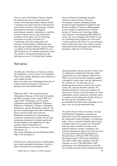There is a new Chief Editor of Science Studies, the international, peer-reviewed journal for science and technology studies. Science Studies is designed as an open forum for all perspectives on the study of science and technology, whether philosophical, historical, sociological, psychological, cognitive, educational, or politicoeconomic. Recent issues of the journal have included work on topics such as technology assessment in Europe, the politics of sociobiology, innovation trajectories and networks, interdisciplinary collaboration and university-government relations. Science Studies is available in full text through EBSCO in over 700 institutions in 30 countries around the world. The journal is abstracted and indexed by the following services: CSA World Wide Political

### Science Abstracts (Cambridge Scientific Abstracts), Social Services Abstracts, Sociological Abstracts, Entrepreneurship Research Engine (Kauffman Foundation) and Russian Academy of Sciences Bibliographies. Science Studies is published by the Finnish Society for Science and Technology Studies. Aaro Tupasela <aaro.tupasela@HELSINKI.FI> invites you, your colleagues and students to join me in making Science Studies one of the most exciting journals in the field. You can participate both as reader and writer. Our website contains information about subscription and submission procedures: http://pro.tsv.fi/stts/mag/

## Net news

The Museum of the History of Science, Oxford, has launched an on-line version of its exhibition: 'Drug Trade: therapy, pharmacy and commerce in early-modern Europe'

http://www.mhs.ox.ac.uk/drugtrade/index.htm. It is built around the Museum's collection of pharmacy jars and printed herbals.

Wikimania 2005 - The First International Wikimedia Conference will be held in Frankfurt am Main, Germany, from 4 August 2005 to 8 August 2005. Wikimedia is the non-profit organization operating Wikipedia, Wiktionary, Wikisource, Wikibooks, Wikinews, Wikiquote, Wikispecies, and the Wikimedia Commons. We are now accepting papers and other submissions (from everyone within and outside the Wikimedia communities) for presentations, workshops, and discussion groups. We are also accepting nominations for speaker panels and keynote speakers, and suggestions for other activities. Mail all submissions to cfp@wikimedia.org. For more conference information, see http://meta.wikimedia.org/wiki/Wikimania:Main\_ Page (work in progress).

Professor Guo, Chinese historian of mathematics, has recently published (with Karine Chemla) a fully commented French translation of the

EASST Review Volume 24 (2005) Numberl 39

Jiuzhang suanshu, the most ancient Chinese work on mathematics handed down through scribal transmission (Les neuf chapitres, Dunod, Paris 2004). In its present form the Jiiuzhang suanshu is thought by some to date from the beginning of the common era. The Suan shu shu is a manuscript discovered in a tomb of the second century BC, and may therefore antedate the Jiuzhang suanshu by at least two centuries. Its discovery is a major event in the history of world mathematics, and its connection with later works is a matter of lively discussion. Further details of the Suan shu shu, including a freely downloadable translation and commentary are at http://www.nri.org.uk/suanshushu.html.

The SciPer Project of the Universities of Leeds and Sheffield is delighted to announce the publication of the first instalment of Science in the Nineteenth-Century Periodical: An Electronic Index, which is issued by hriOnline and is freely available at http://www.sciper.org. The SciPer Index provides a scholarly synopsis of the material relating to science, technology, and medicine appearing in eight (soon to be increased to sixteen) general periodicals published in Britain between 1800 and 1900. With entries describing around 7,500 articles (doubling to more than 15,000 when complete), and with references to over 5,500 individuals, 2,000 publications, and 1,000 institutions, it provides an invaluable research tool for scholars interested